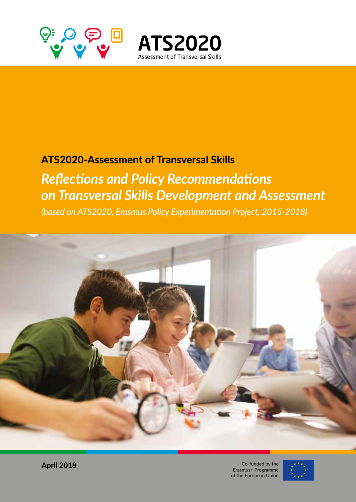



## ATS2020-Assessment of Transversal Skills

## *Reflections and Policy Recommendations on Transversal Skills Development and Assessment*

*(based on ATS2020, Erasmus Policy Experimentation Project, 2015-2018)*



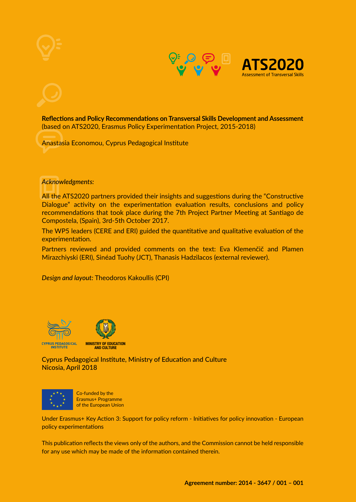





**Reflections and Policy Recommendations on Transversal Skills Development and Assessment** (based on ATS2020, Erasmus Policy Experimentation Project, 2015-2018)

Anastasia Economou, Cyprus Pedagogical Institute

*Acknowledgments:*

All the ATS2020 partners provided their insights and suggestions during the "Constructive Dialogue" activity on the experimentation evaluation results, conclusions and policy recommendations that took place during the 7th Project Partner Meeting at Santiago de Compostela, (Spain), 3rd-5th October 2017.

The WP5 leaders (CERE and ERI) guided the quantitative and qualitative evaluation of the experimentation.

Partners reviewed and provided comments on the text: Eva Klemenčič and Plamen Mirazchiyski (ERI), Sinéad Tuohy (JCT), Thanasis Hadzilacos (external reviewer).

*Design and layout:* Theodoros Kakoullis (CPI)





Cyprus Pedagogical Institute, Ministry of Education and Culture Nicosia, April 2018



Co-funded by the Erasmus+ Programme of the European Union

Under Erasmus+ Key Action 3: Support for policy reform - Initiatives for policy innovation - European policy experimentations

This publication reflects the views only of the authors, and the Commission cannot be held responsible for any use which may be made of the information contained therein.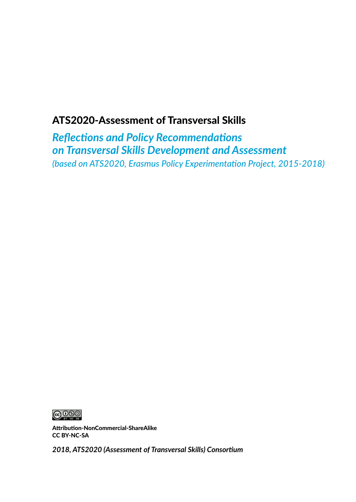## ATS2020-Assessment of Transversal Skills

*Reflections and Policy Recommendations on Transversal Skills Development and Assessment (based on ATS2020, Erasmus Policy Experimentation Project, 2015-2018)*



Attribution-NonCommercial-ShareAlike CC BY-NC-SA

*2018, ATS2020 (Assessment of Transversal Skills) Consortium*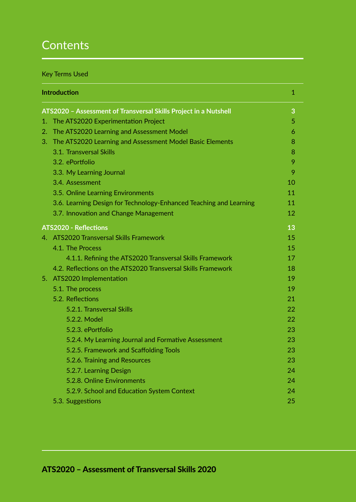## **Contents**

### Key Terms Used

|                                                                  | <b>Introduction</b>                                                | 1  |  |
|------------------------------------------------------------------|--------------------------------------------------------------------|----|--|
| ATS2020 - Assessment of Transversal Skills Project in a Nutshell |                                                                    |    |  |
| 1.                                                               | The ATS2020 Experimentation Project                                | 5  |  |
| 2.                                                               | The ATS2020 Learning and Assessment Model                          | 6  |  |
|                                                                  | 3. The ATS2020 Learning and Assessment Model Basic Elements        | 8  |  |
|                                                                  | 3.1. Transversal Skills                                            | 8  |  |
|                                                                  | 3.2. ePortfolio                                                    | 9  |  |
|                                                                  | 3.3. My Learning Journal                                           | 9  |  |
|                                                                  | 3.4. Assessment                                                    | 10 |  |
|                                                                  | 3.5. Online Learning Environments                                  | 11 |  |
|                                                                  | 3.6. Learning Design for Technology-Enhanced Teaching and Learning | 11 |  |
|                                                                  | 3.7. Innovation and Change Management                              | 12 |  |
|                                                                  | <b>ATS2020 - Reflections</b>                                       | 13 |  |
|                                                                  | 4. ATS2020 Transversal Skills Framework                            | 15 |  |
|                                                                  | 4.1. The Process                                                   | 15 |  |
|                                                                  | 4.1.1. Refining the ATS2020 Transversal Skills Framework           | 17 |  |
|                                                                  | 4.2. Reflections on the ATS2020 Transversal Skills Framework       | 18 |  |
|                                                                  | 5. ATS2020 Implementation                                          | 19 |  |
|                                                                  | 5.1. The process                                                   | 19 |  |
|                                                                  | 5.2. Reflections                                                   | 21 |  |
|                                                                  | 5.2.1. Transversal Skills                                          | 22 |  |
|                                                                  | 5.2.2. Model                                                       | 22 |  |
|                                                                  | 5.2.3. ePortfolio                                                  | 23 |  |
|                                                                  | 5.2.4. My Learning Journal and Formative Assessment                | 23 |  |
|                                                                  | 5.2.5. Framework and Scaffolding Tools                             | 23 |  |
|                                                                  | 5.2.6. Training and Resources                                      | 23 |  |
|                                                                  | 5.2.7. Learning Design                                             | 24 |  |
|                                                                  | 5.2.8. Online Environments                                         | 24 |  |
|                                                                  | 5.2.9. School and Education System Context                         | 24 |  |
|                                                                  | 5.3. Suggestions                                                   | 25 |  |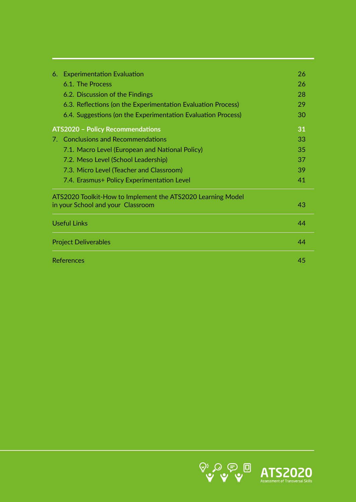|                             | 6. Experimentation Evaluation                                | 26 |  |  |
|-----------------------------|--------------------------------------------------------------|----|--|--|
|                             | 6.1. The Process                                             | 26 |  |  |
|                             | 6.2. Discussion of the Findings                              | 28 |  |  |
|                             | 6.3. Reflections (on the Experimentation Evaluation Process) | 29 |  |  |
|                             | 6.4. Suggestions (on the Experimentation Evaluation Process) | 30 |  |  |
|                             | <b>ATS2020 - Policy Recommendations</b>                      | 31 |  |  |
|                             | 7. Conclusions and Recommendations                           | 33 |  |  |
|                             | 7.1. Macro Level (European and National Policy)              | 35 |  |  |
|                             | 7.2. Meso Level (School Leadership)                          | 37 |  |  |
|                             | 7.3. Micro Level (Teacher and Classroom)                     | 39 |  |  |
|                             | 7.4. Erasmus+ Policy Experimentation Level                   | 41 |  |  |
|                             | ATS2020 Toolkit-How to Implement the ATS2020 Learning Model  |    |  |  |
|                             | in your School and your Classroom                            | 43 |  |  |
|                             | <b>Useful Links</b>                                          | 44 |  |  |
| <b>Project Deliverables</b> |                                                              |    |  |  |
|                             | References                                                   |    |  |  |

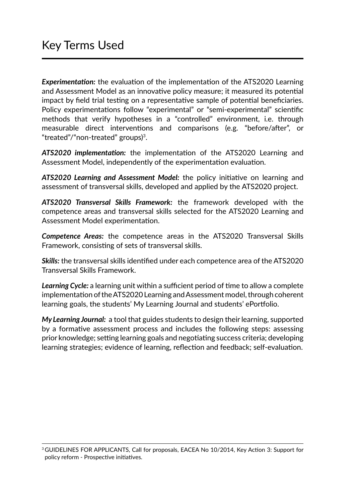*Experimentation:* the evaluation of the implementation of the ATS2020 Learning and Assessment Model as an innovative policy measure; it measured its potential impact by field trial testing on a representative sample of potential beneficiaries. Policy experimentations follow "experimental" or "semi-experimental" scientific methods that verify hypotheses in a "controlled" environment, i.e. through measurable direct interventions and comparisons (e.g. "before/after", or "treated"/"non-treated" groups)3.

*ATS2020 implementation:* the implementation of the ATS2020 Learning and Assessment Model, independently of the experimentation evaluation.

*ATS2020 Learning and Assessment Model:* the policy initiative on learning and assessment of transversal skills, developed and applied by the ATS2020 project.

*ATS2020 Transversal Skills Framework:* the framework developed with the competence areas and transversal skills selected for the ATS2020 Learning and Assessment Model experimentation.

*Competence Areas:* the competence areas in the ATS2020 Transversal Skills Framework, consisting of sets of transversal skills.

*Skills:* the transversal skills identified under each competence area of the ATS2020 Transversal Skills Framework.

*Learning Cycle:* a learning unit within a sufficient period of time to allow a complete implementation of the ATS2020 Learning and Assessment model, through coherent learning goals, the students' My Learning Journal and students' ePortfolio.

*My Learning Journal:* a tool that guides students to design their learning, supported by a formative assessment process and includes the following steps: assessing prior knowledge; setting learning goals and negotiating success criteria; developing learning strategies; evidence of learning, reflection and feedback; self-evaluation.

<sup>&</sup>lt;sup>3</sup> GUIDELINES FOR APPLICANTS, Call for proposals, EACEA No 10/2014, Key Action 3: Support for policy reform - Prospective initiatives.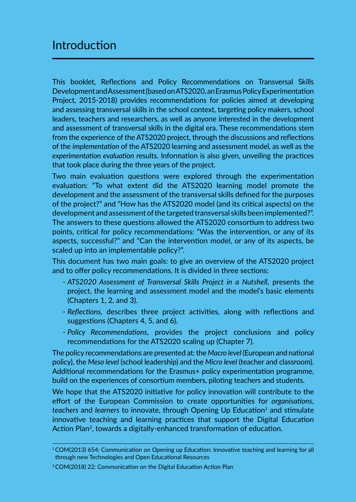## Introduction

This booklet, Reflections and Policy Recommendations on Transversal Skills Development and Assessment (based on ATS2020, an Erasmus Policy Experimentation Project, 2015-2018) provides recommendations for policies aimed at developing and assessing transversal skills in the school context, targeting policy makers, school leaders, teachers and researchers, as well as anyone interested in the development and assessment of transversal skills in the digital era. These recommendations stem from the experience of the ATS2020 project, through the discussions and reflections of the *implementation* of the ATS2020 learning and assessment model, as well as the *experimentation evaluation* results. Information is also given, unveiling the practices that took place during the three years of the project.

Two main evaluation questions were explored through the experimentation evaluation: "To what extent did the ATS2020 learning model promote the development and the assessment of the transversal skills defined for the purposes of the project?" and "How has the ATS2020 model (and its critical aspects) on the development and assessment of the targeted transversal skills been implemented?". The answers to these questions allowed the ATS2020 consortium to address two points, critical for policy recommendations: "Was the intervention, or any of its aspects, successful?" and "Can the intervention model, or any of its aspects, be scaled up into an implementable policy?".

This document has two main goals: to give an overview of the ATS2020 project and to offer policy recommendations. It is divided in three sections:

- *ATS2020 Assessment of Transversal Skills Project in a Nutshell*, presents the project, the learning and assessment model and the model's basic elements (Chapters 1, 2, and 3).
- *Reflections,* describes three project activities, along with reflections and suggestions (Chapters 4, 5, and 6).
- *Policy Recommendations*, provides the project conclusions and policy recommendations for the ATS2020 scaling up (Chapter 7).

The policy recommendations are presented at: the *Macro level* (European and national policy), the *Meso level* (school leadership) and the *Micro level* (teacher and classroom). Additional recommendations for the Erasmus+ policy experimentation programme, build on the experiences of consortium members, piloting teachers and students.

We hope that the ATS2020 initiative for policy innovation will contribute to the effort of the European Commission to create opportunities for *organisations*, *teachers* and *learners* to innovate, through Opening Up Education<sup>1</sup> and stimulate innovative teaching and learning practices that support the Digital Education Action Plan<sup>2</sup>, towards a digitally-enhanced transformation of education.

<sup>1</sup> COM(2013) 654: Communication on Opening up Education: Innovative teaching and learning for all through new Technologies and Open Educational Resources

<sup>2</sup> COM(2018) 22: Communication on the Digital Education Action Plan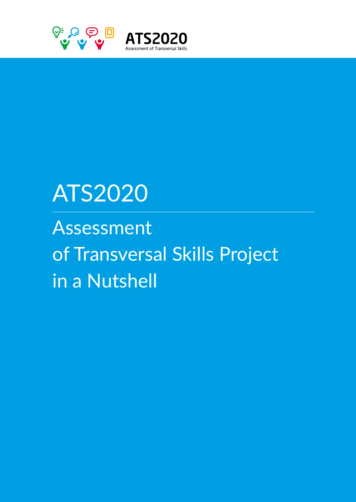

# ATS2020

# Assessment of Transversal Skills Project in a Nutshell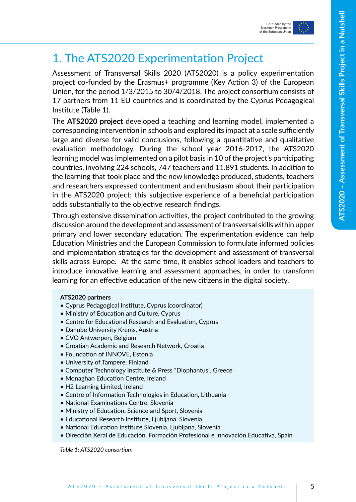



## 1. The ATS2020 Experimentation Project

Assessment of Transversal Skills 2020 (ATS2020) is a policy experimentation project co-funded by the Erasmus+ programme (Key Action 3) of the European Union, for the period 1/3/2015 to 30/4/2018. The project consortium consists of 17 partners from 11 EU countries and is coordinated by the Cyprus Pedagogical Institute (Table 1).

The **ATS2020 project** developed a teaching and learning model, implemented a corresponding intervention in schools and explored its impact at a scale sufficiently large and diverse for valid conclusions, following a quantitative and qualitative evaluation methodology. During the school year 2016-2017, the ATS2020 learning model was implemented on a pilot basis in 10 of the project's participating countries, involving 224 schools, 747 teachers and 11.891 students. In addition to the learning that took place and the new knowledge produced, students, teachers and researchers expressed contentment and enthusiasm about their participation in the ATS2020 project; this subjective experience of a beneficial participation adds substantially to the objective research findings.

Through extensive dissemination activities, the project contributed to the growing discussion around the development and assessment of transversal skills within upper primary and lower secondary education. The experimentation evidence can help Education Ministries and the European Commission to formulate informed policies and implementation strategies for the development and assessment of transversal skills across Europe. At the same time, it enables school leaders and teachers to introduce innovative learning and assessment approaches, in order to transform learning for an effective education of the new citizens in the digital society.

#### **ATS2020 partners**

- Cyprus Pedagogical Institute, Cyprus (coordinator)
- Ministry of Education and Culture, Cyprus
- Centre for Educational Research and Evaluation, Cyprus
- Danube University Krems, Austria
- CVO Antwerpen, Belgium
- Croatian Academic and Research Network, Croatia
- Foundation of INNOVE, Estonia
- University of Tampere, Finland
- Computer Technology Institute & Press "Diophantus", Greece
- Monaghan Education Centre, Ireland
- H2 Learning Limited, Ireland
- Centre of Information Technologies in Education, Lithuania
- National Examinations Centre, Slovenia
- Ministry of Education, Science and Sport, Slovenia
- Educational Research Institute, Ljubljana, Slovenia
- National Education Institute Slovenia, Ljubljana, Slovenia
- Dirección Xeral de Educación, Formación Profesional e Innovación Educativa, Spain

*Table 1: ATS2020 consortium*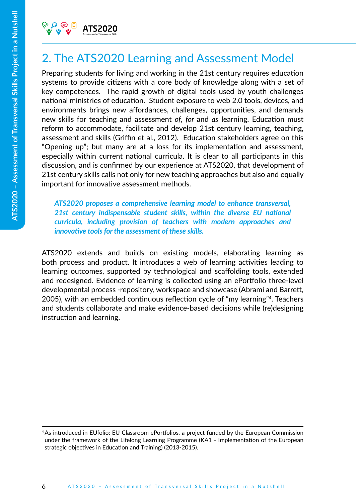## 2. The ATS2020 Learning and Assessment Model

Preparing students for living and working in the 21st century requires education systems to provide citizens with a core body of knowledge along with a set of key competences. The rapid growth of digital tools used by youth challenges national ministries of education. Student exposure to web 2.0 tools, devices, and environments brings new affordances, challenges, opportunities, and demands new skills for teaching and assessment *of*, *for* and *as* learning. Education must reform to accommodate, facilitate and develop 21st century learning, teaching, assessment and skills (Griffin et al., 2012). Education stakeholders agree on this "Opening up"; but many are at a loss for its implementation and assessment, especially within current national curricula. It is clear to all participants in this discussion, and is confirmed by our experience at ATS2020, that development of 21st century skills calls not only for new teaching approaches but also and equally important for innovative assessment methods.

*ATS2020 proposes a comprehensive learning model to enhance transversal, 21st century indispensable student skills, within the diverse EU national curricula, including provision of teachers with modern approaches and innovative tools for the assessment of these skills.*

ATS2020 extends and builds on existing models, elaborating learning as both process and product. It introduces a web of learning activities leading to learning outcomes, supported by technological and scaffolding tools, extended and redesigned. Evidence of learning is collected using an ePortfolio three-level developmental process -repository, workspace and showcase (Abrami and Barrett, 2005), with an embedded continuous reflection cycle of "my learning"4. Teachers and students collaborate and make evidence-based decisions while (re)designing instruction and learning.

<sup>4</sup> As introduced in EUfolio: EU Classroom ePortfolios, a project funded by the European Commission under the framework of the Lifelong Learning Programme (KA1 - Implementation of the European strategic objectives in Education and Training) (2013-2015).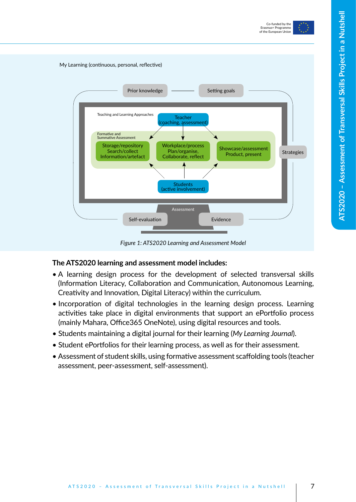



*Figure 1: ATS2020 Learning and Assessment Model*

#### **The ATS2020 learning and assessment model includes:**

- Α learning design process for the development of selected transversal skills (Information Literacy, Collaboration and Communication, Autonomous Learning, Creativity and Innovation, Digital Literacy) within the curriculum.
- Incorporation of digital technologies in the learning design process. Learning activities take place in digital environments that support an ePortfolio process (mainly Mahara, Office365 OneNote), using digital resources and tools.
- Students maintaining a digital journal for their learning (*My Learning Journal*).
- Student ePortfolios for their learning process, as well as for their assessment.
- Assessment of student skills, using formative assessment scaffolding tools (teacher assessment, peer-assessment, self-assessment).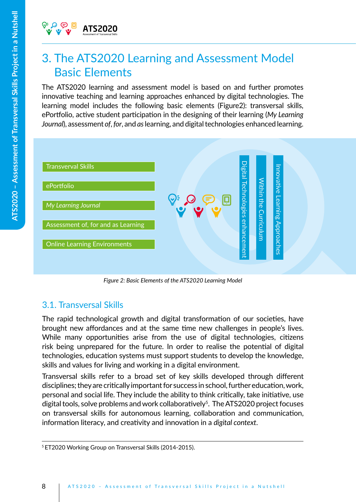## 3. The ATS2020 Learning and Assessment Model Basic Elements

The ATS2020 learning and assessment model is based on and further promotes innovative teaching and learning approaches enhanced by digital technologies. The learning model includes the following basic elements (Figure2): transversal skills, ePortfolio, active student participation in the designing of their learning (*My Learning Journal*), assessment *of*, *for*, and *as* learning, and digital technologies enhanced learning.



*Figure 2: Basic Elements of the ATS2020 Learning Model*

## 3.1. Transversal Skills

The rapid technological growth and digital transformation of our societies, have brought new affordances and at the same time new challenges in people's lives. While many opportunities arise from the use of digital technologies, citizens risk being unprepared for the future. In order to realise the potential of digital technologies, education systems must support students to develop the knowledge, skills and values for living and working in a digital environment.

Transversal skills refer to a broad set of key skills developed through different disciplines; they are critically important for success in school, further education, work, personal and social life. They include the ability to think critically, take initiative, use digital tools, solve problems and work collaboratively<sup>5</sup>. The ATS2020 project focuses on transversal skills for autonomous learning, collaboration and communication, information literacy, and creativity and innovation in a *digital context*.

<sup>5</sup> ET2020 Working Group on Transversal Skills (2014-2015).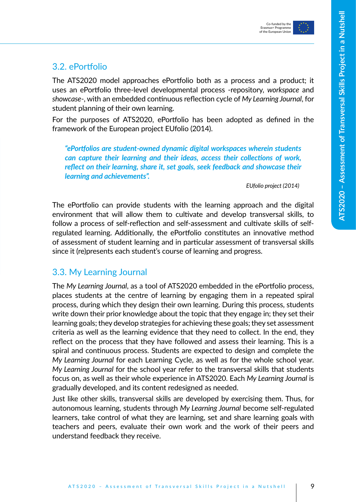

### 3.2. ePortfolio

The ATS2020 model approaches ePortfolio both as a process and a product; it uses an ePortfolio three-level developmental process -repository, *workspace* and *showcase*-, with an embedded continuous reflection cycle of *My Learning Journal*, for student planning of their own learning.

For the purposes of ATS2020, ePortfolio has been adopted as defined in the framework of the European project EUfolio (2014).

*"ePortfolios are student-owned dynamic digital workspaces wherein students can capture their learning and their ideas, access their collections of work, reflect on their learning, share it, set goals, seek feedback and showcase their learning and achievements".* 

*EUfolio project (2014)*

The ePortfolio can provide students with the learning approach and the digital environment that will allow them to cultivate and develop transversal skills, to follow a process of self-reflection and self-assessment and cultivate skills of selfregulated learning. Additionally, the ePortfolio constitutes an innovative method of assessment of student learning and in particular assessment of transversal skills since it (re)presents each student's course of learning and progress.

### 3.3. My Learning Journal

The *My Learning Journal*, as a tool of ATS2020 embedded in the ePortfolio process, places students at the centre of learning by engaging them in a repeated spiral process, during which they design their own learning. During this process, students write down their prior knowledge about the topic that they engage in; they set their learning goals; they develop strategies for achieving these goals; they set assessment criteria as well as the learning evidence that they need to collect. In the end, they reflect on the process that they have followed and assess their learning. This is a spiral and continuous process. Students are expected to design and complete the *My Learning Journal* for each Learning Cycle, as well as for the whole school year. *My Learning Journal* for the school year refer to the transversal skills that students focus on, as well as their whole experience in ATS2020. Each *My Learning Journal* is gradually developed, and its content redesigned as needed.

Just like other skills, transversal skills are developed by exercising them. Thus, for autonomous learning, students through *My Learning Journal* become self-regulated learners, take control of what they are learning, set and share learning goals with teachers and peers, evaluate their own work and the work of their peers and understand feedback they receive.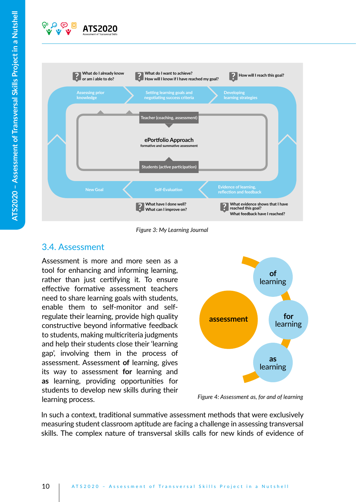



*Figure 3: My Learning Journal* 

### 3.4. Assessment

Assessment is more and more seen as a tool for enhancing and informing learning, rather than just certifying it. To ensure effective formative assessment teachers need to share learning goals with students, enable them to self-monitor and selfregulate their learning, provide high quality constructive beyond informative feedback to students, making multicriteria judgments and help their students close their 'learning gap', involving them in the process of assessment. Assessment **of** learning, gives its way to assessment **for** learning and **as** learning, providing opportunities for students to develop new skills during their learning process.



*Figure 4: Assessment as, for and of learning* 

In such a context, traditional summative assessment methods that were exclusively measuring student classroom aptitude are facing a challenge in assessing transversal skills. The complex nature of transversal skills calls for new kinds of evidence of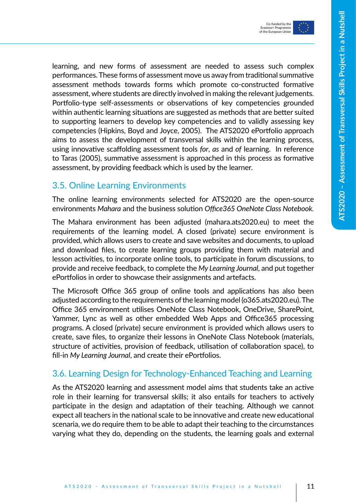

learning, and new forms of assessment are needed to assess such complex performances. These forms of assessment move us away from traditional summative assessment methods towards forms which promote co-constructed formative assessment, where students are directly involved in making the relevant judgements. Portfolio-type self-assessments or observations of key competencies grounded within authentic learning situations are suggested as methods that are better suited to supporting learners to develop key competencies and to validly assessing key competencies (Hipkins, Boyd and Joyce, 2005). The ATS2020 ePortfolio approach aims to assess the development of transversal skills within the learning process, using innovative scaffolding assessment tools *for*, *as* and *of* learning. In reference to Taras (2005), summative assessment is approached in this process as formative assessment, by providing feedback which is used by the learner.

### 3.5. Online Learning Environments

The online learning environments selected for ATS2020 are the open-source environments *Mahara* and the business solution *Office365 OneNote Class Notebook.*

The Mahara environment has been adjusted (mahara.ats2020.eu) to meet the requirements of the learning model. A closed (private) secure environment is provided, which allows users to create and save websites and documents, to upload and download files, to create learning groups providing them with material and lesson activities, to incorporate online tools, to participate in forum discussions, to provide and receive feedback, to complete the *My Learning Journal*, and put together ePortfolios in order to showcase their assignments and artefacts.

The Microsoft Office 365 group of online tools and applications has also been adjusted according to the requirements of the learning model (o365.ats2020.eu). The Office 365 environment utilises OneNote Class Notebook, OneDrive, SharePoint, Yammer, Lync as well as other embedded Web Apps and Office365 processing programs. A closed (private) secure environment is provided which allows users to create, save files, to organize their lessons in OneNote Class Notebook (materials, structure of activities, provision of feedback, utilisation of collaboration space), to fill-in *My Learning Journal*, and create their ePortfolios.

### 3.6. Learning Design for Technology-Enhanced Teaching and Learning

As the ATS2020 learning and assessment model aims that students take an active role in their learning for transversal skills; it also entails for teachers to actively participate in the design and adaptation of their teaching. Although we cannot expect all teachers in the national scale to be innovative and create new educational scenaria, we do require them to be able to adapt their teaching to the circumstances varying what they do, depending on the students, the learning goals and external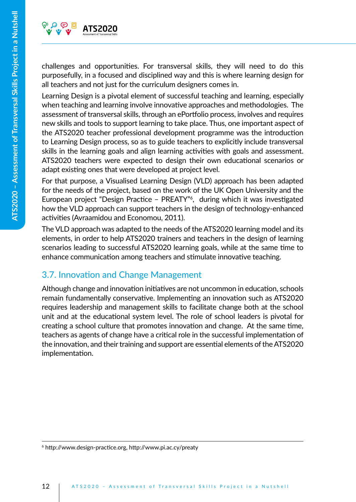

challenges and opportunities. For transversal skills, they will need to do this purposefully, in a focused and disciplined way and this is where learning design for all teachers and not just for the curriculum designers comes in.

Learning Design is a pivotal element of successful teaching and learning, especially when teaching and learning involve innovative approaches and methodologies. The assessment of transversal skills, through an ePortfolio process, involves and requires new skills and tools to support learning to take place. Thus, one important aspect of the ATS2020 teacher professional development programme was the introduction to Learning Design process, so as to guide teachers to explicitly include transversal skills in the learning goals and align learning activities with goals and assessment. ATS2020 teachers were expected to design their own educational scenarios or adapt existing ones that were developed at project level.

For that purpose, a Visualised Learning Design (VLD) approach has been adapted for the needs of the project, based on the work of the UK Open University and the European project "Design Practice – PREATY"6 , during which it was investigated how the VLD approach can support teachers in the design of technology-enhanced activities (Avraamidou and Economou, 2011).

The VLD approach was adapted to the needs of the ATS2020 learning model and its elements, in order to help ATS2020 trainers and teachers in the design of learning scenarios leading to successful ATS2020 learning goals, while at the same time to enhance communication among teachers and stimulate innovative teaching.

## 3.7. Innovation and Change Management

Although change and innovation initiatives are not uncommon in education, schools remain fundamentally conservative. Implementing an innovation such as ATS2020 requires leadership and management skills to facilitate change both at the school unit and at the educational system level. The role of school leaders is pivotal for creating a school culture that promotes innovation and change. At the same time, teachers as agents of change have a critical role in the successful implementation of the innovation, and their training and support are essential elements of the ATS2020 implementation.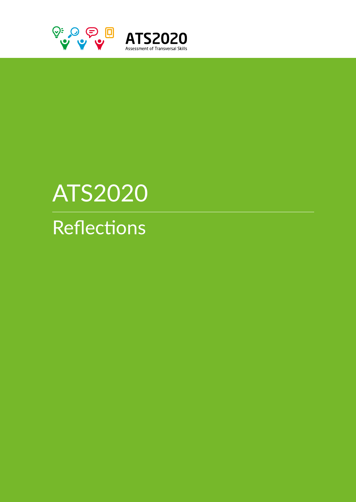

# ATS2020

**Reflections**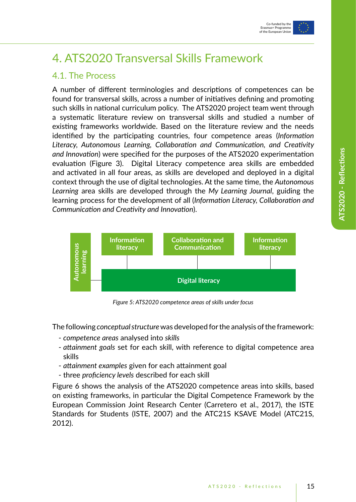

## 4. ATS2020 Transversal Skills Framework

### 4.1. The Process

A number of different terminologies and descriptions of competences can be found for transversal skills, across a number of initiatives defining and promoting such skills in national curriculum policy. The ATS2020 project team went through a systematic literature review on transversal skills and studied a number of existing frameworks worldwide. Based on the literature review and the needs identified by the participating countries, four competence areas (*Information Literacy, Autonomous Learning, Collaboration and Communication, and Creativity and Innovation*) were specified for the purposes of the ATS2020 experimentation evaluation (Figure 3). Digital Literacy competence area skills are embedded and activated in all four areas, as skills are developed and deployed in a digital context through the use of digital technologies. At the same time, the *Autonomous Learning* area skills are developed through the *My Learning Journal*, guiding the learning process for the development of all (*Information Literacy, Collaboration and Communication and Creativity and Innovation*).



*Figure 5: ATS2020 competence areas of skills under focus*

The following *conceptual structure* was developed for the analysis of the framework:

- *competence areas* analysed into *skills*
- *attainment goals* set for each skill, with reference to digital competence area skills
- *attainment examples* given for each attainment goal
- three *proficiency levels* described for each skill

experience<br>
The follo<br>
- comp<br>
- attain<br>
skills<br>
- attain<br>
- three<br>
Figure 6<br>
Standard<br>
2012). Figure 6 shows the analysis of the ATS2020 competence areas into skills, based on existing frameworks, in particular the Digital Competence Framework by the European Commission Joint Research Center (Carretero et al., 2017), the ISTE Standards for Students (ISTE, 2007) and the ATC21S KSAVE Model (ATC21S, 2012).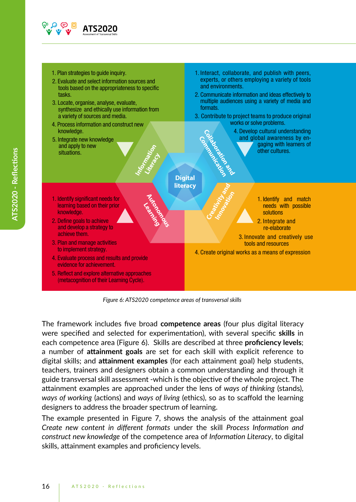

- 1. Plan strategies to guide inquiry.
- 2. Evaluate and select information sources and tools based on the appropriateness to specific tasks.
- 3. Locate, organise, analyse, evaluate, synthesize and ethically use information from a variety of sources and media.
- 4. Process information and construct new knowledge.
- 5. Integrate new knowledge and apply to new situations.
- 1. Interact, collaborate, and publish with peers, experts, or others employing a variety of tools and environments.
- 2. Communicate information and ideas effectively to multiple audiences using a variety of media and formats.
- 3. Contribute to project teams to produce original works or solve problems.

 4. Develop cultural understanding and global awareness by en gaging with learners of other cultures. Collaboration and

## **Digital literacy** Communication

Creativity and **Innovation** 

Information **Lite**<br>Lite<br>V

> Autonomous<br>Autonomous **Learning**

- 1. Identify significant needs for learning based on their prior knowledge.
- 2. Define goals to achieve and develop a strategy to achieve them.
- 3. Plan and manage activities to implement strategy.
- 4. Evaluate process and results and provide evidence for achievement.
- 5. Reflect and explore alternative approaches (metacognition of their Learning Cycle).



- 2. Integrate and re-elaborate
- 3. Innovate and creatively use tools and resources
- 4. Create original works as a means of expression

*Figure 6: ATS2020 competence areas of transversal skills*

The framework includes five broad **competence areas** (four plus digital literacy were specified and selected for experimentation), with several specific **skills** in each competence area (Figure 6). Skills are described at three **proficiency levels**; a number of **attainment goals** are set for each skill with explicit reference to digital skills; and **attainment examples** (for each attainment goal) help students, teachers, trainers and designers obtain a common understanding and through it guide transversal skill assessment -which is the objective of the whole project. The attainment examples are approached under the lens of *ways of thinking* (stands), *ways of working* (actions) and *ways of living* (ethics), so as to scaffold the learning designers to address the broader spectrum of learning.

The example presented in Figure 7, shows the analysis of the attainment goal *Create new content in different formats* under the skill *Process Information and construct new knowledge* of the competence area of *Information Literacy*, to digital skills, attainment examples and proficiency levels.

**ATS2020 - Reflections**

ATS2020 - Reflections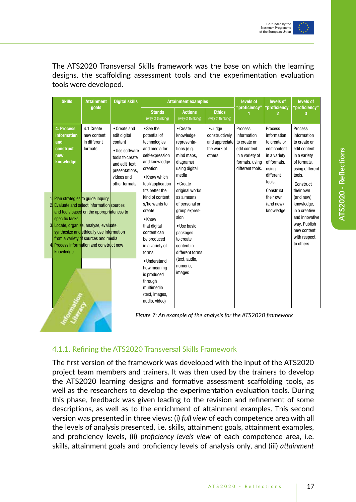

The ATS2020 Transversal Skills framework was the base on which the learning designs, the scaffolding assessment tools and the experimentation evaluation tools were developed.

| <b>Skills</b>                                                                                                                                                                                           | <b>Attainment</b>                                                                                                            | <b>Digital skills</b>                                                                                                                           | <b>Attainment examples</b>                                                                                                                        |                                                                                                                                                                                                                                                                                                                         | levels of                                                                                                                                                                                                                                                                | levels of                                         | levels of                                                                                                                            |                                                                                                                                        |
|---------------------------------------------------------------------------------------------------------------------------------------------------------------------------------------------------------|------------------------------------------------------------------------------------------------------------------------------|-------------------------------------------------------------------------------------------------------------------------------------------------|---------------------------------------------------------------------------------------------------------------------------------------------------|-------------------------------------------------------------------------------------------------------------------------------------------------------------------------------------------------------------------------------------------------------------------------------------------------------------------------|--------------------------------------------------------------------------------------------------------------------------------------------------------------------------------------------------------------------------------------------------------------------------|---------------------------------------------------|--------------------------------------------------------------------------------------------------------------------------------------|----------------------------------------------------------------------------------------------------------------------------------------|
|                                                                                                                                                                                                         | goals                                                                                                                        |                                                                                                                                                 | <b>Stands</b><br>(way of thinking)                                                                                                                | <b>Actions</b><br>(way of thinking)                                                                                                                                                                                                                                                                                     | <b>Ethics</b><br>(way of thinking)                                                                                                                                                                                                                                       | "proficiency"                                     | 'proficiency"                                                                                                                        | "proficiency"                                                                                                                          |
| 4. Process<br>information<br>and<br>construct<br>new<br>knowledge                                                                                                                                       | 4.1 Create<br>new content<br>in different<br>formats                                                                         | • Create and<br>edit digital<br>content<br>• Use software<br>tools to create<br>and edit text.<br>presentations.<br>videos and<br>other formats | • See the<br>potential of<br>technologies<br>and media for<br>self-expression<br>and knowledge<br>creation<br>• Know which<br>tool/application    | • Create<br>knowledge<br>representa-<br>tions (e.g.<br>mind maps,<br>diagrams)<br>using digital<br>media<br>$\bullet$ Create<br>original works<br>as a means<br>of personal or<br>group expres-<br>sion<br>· Use basic<br>packages<br>to create<br>content in<br>different forms<br>(text, audio,<br>numeric,<br>images | $\bullet$ Judge<br><b>Process</b><br>constructively<br>information<br>and appreciate<br>to create or<br>the work of<br>edit content<br>others<br>in a variety of<br>formats, using<br>different tools.<br>Figure 7: An example of the analysis for the ATS2020 framework |                                                   | <b>Process</b><br>information<br>to create or<br>edit content<br>in a variety<br>of formats.<br>using<br>different<br>tools.         | <b>Process</b><br>information<br>to create or<br>edit content<br>in a variety<br>of formats,<br>using different<br>tools.<br>Construct |
| 1. Plan strategies to quide inquiry<br>2. Evaluate and select information sources<br>specific tasks<br>3. Locate, organise, analyse, evaluate,<br>4. Process information and construct new<br>knowledge | and tools based on the appropriateness to<br>synthesize and ethically use information<br>from a variety of sources and media |                                                                                                                                                 | fits better the<br>kind of content<br>s/he wants to<br>create<br>• Know<br>that digital<br>content can<br>be produced<br>in a variety of<br>forms |                                                                                                                                                                                                                                                                                                                         |                                                                                                                                                                                                                                                                          | Construct<br>their own<br>(and new)<br>knowledge. | their own<br>(and new)<br>knowledge,<br>in a creative<br>and innovative<br>way. Publish<br>new content<br>with respect<br>to others. |                                                                                                                                        |
|                                                                                                                                                                                                         |                                                                                                                              |                                                                                                                                                 | • Understand<br>how meaning<br>is produced<br>through<br>multimedia<br>(text, images,<br>audio, video)                                            |                                                                                                                                                                                                                                                                                                                         |                                                                                                                                                                                                                                                                          |                                                   |                                                                                                                                      |                                                                                                                                        |

#### 4.1.1. Refining the ATS2020 Transversal Skills Framework

The first version of the framework was developed with the input of the ATS2020 project team members and trainers. It was then used by the trainers to develop the ATS2020 learning designs and formative assessment scaffolding tools, as well as the researchers to develop the experimentation evaluation tools. During this phase, feedback was given leading to the revision and refinement of some descriptions, as well as to the enrichment of attainment examples. This second version was presented in three views: (i) *full view* of each competence area with all the levels of analysis presented, i.e. skills, attainment goals, attainment examples, and proficiency levels, (ii) *proficiency levels view* of each competence area, i.e. skills, attainment goals and proficiency levels of analysis only, and (iii) *attainment*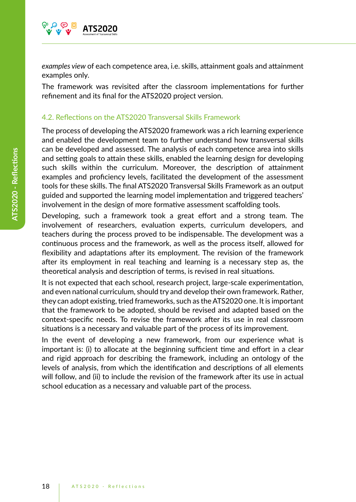

*examples view* of each competence area, i.e. skills, attainment goals and attainment examples only.

The framework was revisited after the classroom implementations for further refinement and its final for the ATS2020 project version.

#### 4.2. Reflections on the ATS2020 Transversal Skills Framework

The process of developing the ATS2020 framework was a rich learning experience and enabled the development team to further understand how transversal skills can be developed and assessed. The analysis of each competence area into skills and setting goals to attain these skills, enabled the learning design for developing such skills within the curriculum. Moreover, the description of attainment examples and proficiency levels, facilitated the development of the assessment tools for these skills. The final ATS2020 Transversal Skills Framework as an output guided and supported the learning model implementation and triggered teachers' involvement in the design of more formative assessment scaffolding tools.

Developing, such a framework took a great effort and a strong team. The involvement of researchers, evaluation experts, curriculum developers, and teachers during the process proved to be indispensable. The development was a continuous process and the framework, as well as the process itself, allowed for flexibility and adaptations after its employment. The revision of the framework after its employment in real teaching and learning is a necessary step as, the theoretical analysis and description of terms, is revised in real situations.

It is not expected that each school, research project, large-scale experimentation, and even national curriculum, should try and develop their own framework. Rather, they can adopt existing, tried frameworks, such as the ATS2020 one. It is important that the framework to be adopted, should be revised and adapted based on the context-specific needs. To revise the framework after its use in real classroom situations is a necessary and valuable part of the process of its improvement.

In the event of developing a new framework, from our experience what is important is: (i) to allocate at the beginning sufficient time and effort in a clear and rigid approach for describing the framework, including an ontology of the levels of analysis, from which the identification and descriptions of all elements will follow, and (ii) to include the revision of the framework after its use in actual school education as a necessary and valuable part of the process.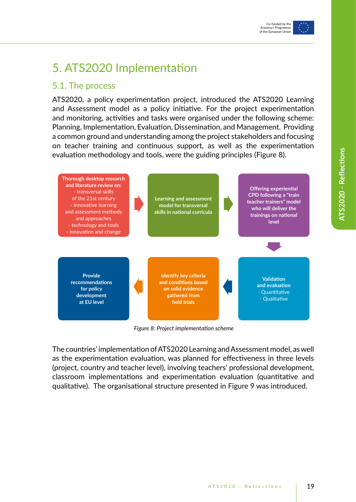

## 5. ATS2020 Implementation

### 5.1. The process

ATS2020, a policy experimentation project, introduced the ATS2020 Learning and Assessment model as a policy initiative. For the project experimentation and monitoring, activities and tasks were organised under the following scheme: Planning, Implementation, Evaluation, Dissemination, and Management. Providing a common ground and understanding among the project stakeholders and focusing on teacher training and continuous support, as well as the experimentation evaluation methodology and tools, were the guiding principles (Figure 8).



*Figure 8: Project implementation scheme*

The countries' implementation of ATS2020 Learning and Assessment model, as well as the experimentation evaluation, was planned for effectiveness in three levels (project, country and teacher level), involving teachers' professional development, classroom implementations and experimentation evaluation (quantitative and qualitative). The organisational structure presented in Figure 9 was introduced.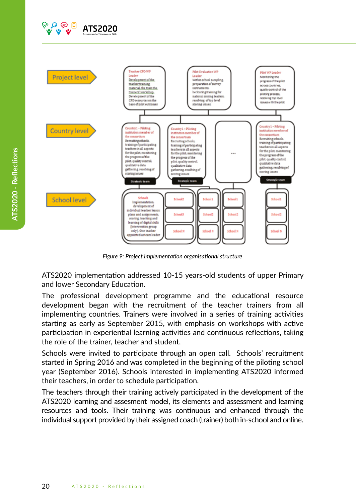



*Figure 9: Project implementation organisational structure*

ATS2020 implementation addressed 10-15 years-old students of upper Primary and lower Secondary Education.

The professional development programme and the educational resource development began with the recruitment of the teacher trainers from all implementing countries. Trainers were involved in a series of training activities starting as early as September 2015, with emphasis on workshops with active participation in experiential learning activities and continuous reflections, taking the role of the trainer, teacher and student.

Schools were invited to participate through an open call. Schools' recruitment started in Spring 2016 and was completed in the beginning of the piloting school year (September 2016). Schools interested in implementing ATS2020 informed their teachers, in order to schedule participation.

The teachers through their training actively participated in the development of the ATS2020 learning and assesment model, its elements and assessment and learning resources and tools. Their training was continuous and enhanced through the individual support provided by their assigned coach (trainer) both in-school and online.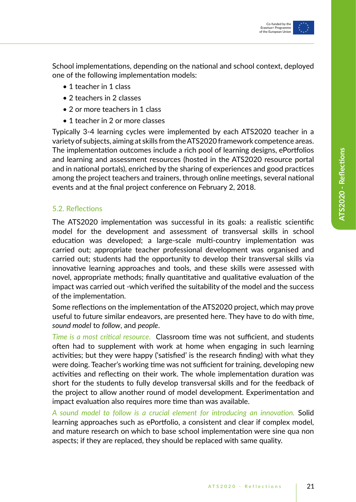

School implementations, depending on the national and school context, deployed one of the following implementation models:

- 1 teacher in 1 class
- 2 teachers in 2 classes
- 2 or more teachers in 1 class
- 1 teacher in 2 or more classes

Typically 3-4 learning cycles were implemented by each ATS2020 teacher in a variety of subjects, aiming at skills from the ATS2020 framework competence areas. The implementation outcomes include a rich pool of learning designs, ePortfolios and learning and assessment resources (hosted in the ATS2020 resource portal and in national portals), enriched by the sharing of experiences and good practices among the project teachers and trainers, through online meetings, several national events and at the final project conference on February 2, 2018.

#### 5.2. Reflections

The ATS2020 implementation was successful in its goals: a realistic scientific model for the development and assessment of transversal skills in school education was developed; a large-scale multi-country implementation was carried out; appropriate teacher professional development was organised and carried out; students had the opportunity to develop their transversal skills via innovative learning approaches and tools, and these skills were assessed with novel, appropriate methods; finally quantitative and qualitative evaluation of the impact was carried out -which verified the suitability of the model and the success of the implementation.

Some reflections on the implementation of the ATS2020 project, which may prove useful to future similar endeavors, are presented here. They have to do with *time*, *sound model* to *follow*, and *people*.

*Time is a most critical resource*. Classroom time was not sufficient, and students often had to supplement with work at home when engaging in such learning activities; but they were happy ('satisfied' is the research finding) with what they were doing. Teacher's working time was not sufficient for training, developing new activities and reflecting on their work. The whole implementation duration was short for the students to fully develop transversal skills and for the feedback of the project to allow another round of model development. Experimentation and impact evaluation also requires more time than was available.

*A sound model to follow is a crucial element for introducing an innovation.* Solid learning approaches such as ePortfolio, a consistent and clear if complex model, and mature research on which to base school implementation were sine qua non aspects; if they are replaced, they should be replaced with same quality.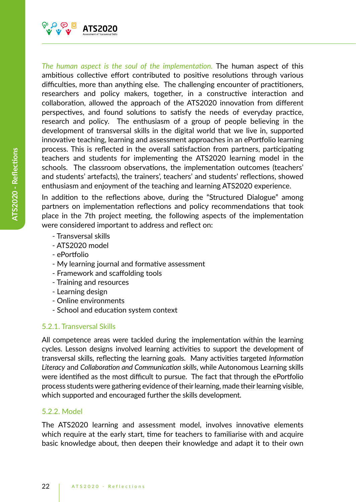

*The human aspect is the soul of the implementation.* The human aspect of this ambitious collective effort contributed to positive resolutions through various difficulties, more than anything else. The challenging encounter of practitioners, researchers and policy makers, together, in a constructive interaction and collaboration, allowed the approach of the ATS2020 innovation from different perspectives, and found solutions to satisfy the needs of everyday practice, research and policy. The enthusiasm of a group of people believing in the development of transversal skills in the digital world that we live in, supported innovative teaching, learning and assessment approaches in an ePortfolio learning process. This is reflected in the overall satisfaction from partners, participating teachers and students for implementing the ATS2020 learning model in the schools. The classroom observations, the implementation outcomes (teachers' and students' artefacts), the trainers', teachers' and students' reflections, showed enthusiasm and enjoyment of the teaching and learning ATS2020 experience.

In addition to the reflections above, during the "Structured Dialogue" among partners on implementation reflections and policy recommendations that took place in the 7th project meeting, the following aspects of the implementation were considered important to address and reflect on:

- Transversal skills
- ATS2020 model
- ePortfolio
- My learning journal and formative assessment
- Framework and scaffolding tools
- Training and resources
- Learning design
- Online environments
- School and education system context

#### 5.2.1. Transversal Skills

All competence areas were tackled during the implementation within the learning cycles. Lesson designs involved learning activities to support the development of transversal skills, reflecting the learning goals. Many activities targeted *Information Literacy* and *Collaboration and Communication skills*, while Autonomous Learning skills were identified as the most difficult to pursue. The fact that through the ePortfolio process students were gathering evidence of their learning, made their learning visible, which supported and encouraged further the skills development.

#### 5.2.2. Model

The ATS2020 learning and assessment model, involves innovative elements which require at the early start, time for teachers to familiarise with and acquire basic knowledge about, then deepen their knowledge and adapt it to their own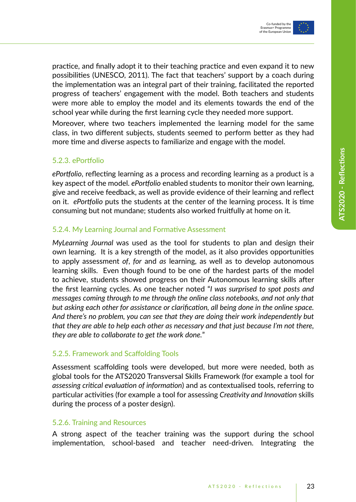practice, and finally adopt it to their teaching practice and even expand it to new possibilities (UNESCO, 2011). The fact that teachers' support by a coach during the implementation was an integral part of their training, facilitated the reported progress of teachers' engagement with the model. Both teachers and students were more able to employ the model and its elements towards the end of the school year while during the first learning cycle they needed more support.

Moreover, where two teachers implemented the learning model for the same class, in two different subjects, students seemed to perform better as they had more time and diverse aspects to familiarize and engage with the model.

#### 5.2.3. ePortfolio

*ePortfolio*, reflecting learning as a process and recording learning as a product is a key aspect of the model. *ePortfolio* enabled students to monitor their own learning, give and receive feedback, as well as provide evidence of their learning and reflect on it. *ePortfolio* puts the students at the center of the learning process. It is time consuming but not mundane; students also worked fruitfully at home on it.

#### 5.2.4. My Learning Journal and Formative Assessment

*MyLearning Journal* was used as the tool for students to plan and design their own learning. It is a key strength of the model, as it also provides opportunities to apply assessment *of*, *for* and *as* learning, as well as to develop autonomous learning skills. Even though found to be one of the hardest parts of the model to achieve, students showed progress on their Autonomous learning skills after the first learning cycles. As one teacher noted "*I was surprised to spot posts and messages coming through to me through the online class notebooks, and not only that but asking each other for assistance or clarification, all being done in the online space. And there's no problem, you can see that they are doing their work independently but that they are able to help each other as necessary and that just because I'm not there, they are able to collaborate to get the work done.*"

#### 5.2.5. Framework and Scaffolding Tools

Assessment scaffolding tools were developed, but more were needed, both as global tools for the ATS2020 Transversal Skills Framework (for example a tool for *assessing critical evaluation of information*) and as contextualised tools, referring to particular activities (for example a tool for assessing *Creativity and Innovation* skills during the process of a poster design).

#### 5.2.6. Training and Resources

A strong aspect of the teacher training was the support during the school implementation, school-based and teacher need-driven. Integrating the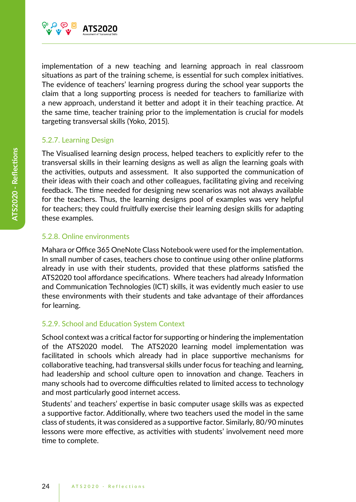

implementation of a new teaching and learning approach in real classroom situations as part of the training scheme, is essential for such complex initiatives. The evidence of teachers' learning progress during the school year supports the claim that a long supporting process is needed for teachers to familiarize with a new approach, understand it better and adopt it in their teaching practice. At the same time, teacher training prior to the implementation is crucial for models targeting transversal skills (Yoko, 2015).

#### 5.2.7. Learning Design

The Visualised learning design process, helped teachers to explicitly refer to the transversal skills in their learning designs as well as align the learning goals with the activities, outputs and assessment. It also supported the communication of their ideas with their coach and other colleagues, facilitating giving and receiving feedback. The time needed for designing new scenarios was not always available for the teachers. Thus, the learning designs pool of examples was very helpful for teachers; they could fruitfully exercise their learning design skills for adapting these examples.

#### 5.2.8. Online environments

Mahara or Office 365 OneNote Class Notebook were used for the implementation. In small number of cases, teachers chose to continue using other online platforms already in use with their students, provided that these platforms satisfied the ATS2020 tool affordance specifications. Where teachers had already Information and Communication Technologies (ICT) skills, it was evidently much easier to use these environments with their students and take advantage of their affordances for learning.

#### 5.2.9. School and Education System Context

School context was a critical factor for supporting or hindering the implementation of the ATS2020 model. The ATS2020 learning model implementation was facilitated in schools which already had in place supportive mechanisms for collaborative teaching, had transversal skills under focus for teaching and learning, had leadership and school culture open to innovation and change. Teachers in many schools had to overcome difficulties related to limited access to technology and most particularly good internet access.

Students' and teachers' expertise in basic computer usage skills was as expected a supportive factor. Additionally, where two teachers used the model in the same class of students, it was considered as a supportive factor. Similarly, 80/90 minutes lessons were more effective, as activities with students' involvement need more time to complete.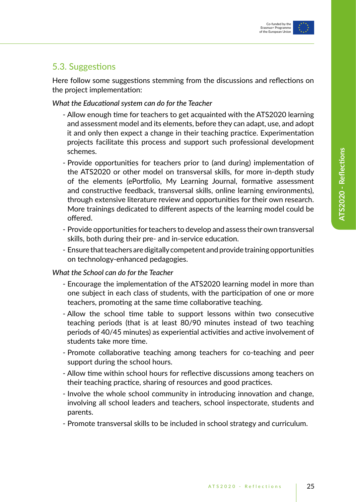

### 5.3. Suggestions

Here follow some suggestions stemming from the discussions and reflections on the project implementation:

#### *What the Educational system can do for the Teacher*

- Allow enough time for teachers to get acquainted with the ATS2020 learning and assessment model and its elements, before they can adapt, use, and adopt it and only then expect a change in their teaching practice. Experimentation projects facilitate this process and support such professional development schemes.
- Provide opportunities for teachers prior to (and during) implementation of the ATS2020 or other model on transversal skills, for more in-depth study of the elements (ePortfolio, My Learning Journal, formative assessment and constructive feedback, transversal skills, online learning environments), through extensive literature review and opportunities for their own research. More trainings dedicated to different aspects of the learning model could be offered.
- Provide opportunities for teachers to develop and assess their own transversal skills, both during their pre- and in-service education.
- Ensure that teachers are digitally competent and provide training opportunities on technology-enhanced pedagogies.

#### *What the School can do for the Teacher*

- Encourage the implementation of the ATS2020 learning model in more than one subject in each class of students, with the participation of one or more teachers, promoting at the same time collaborative teaching.
- Allow the school time table to support lessons within two consecutive teaching periods (that is at least 80/90 minutes instead of two teaching periods of 40/45 minutes) as experiential activities and active involvement of students take more time.
- Promote collaborative teaching among teachers for co-teaching and peer support during the school hours.
- Allow time within school hours for reflective discussions among teachers on their teaching practice, sharing of resources and good practices.
- Involve the whole school community in introducing innovation and change, involving all school leaders and teachers, school inspectorate, students and parents.
- Promote transversal skills to be included in school strategy and curriculum.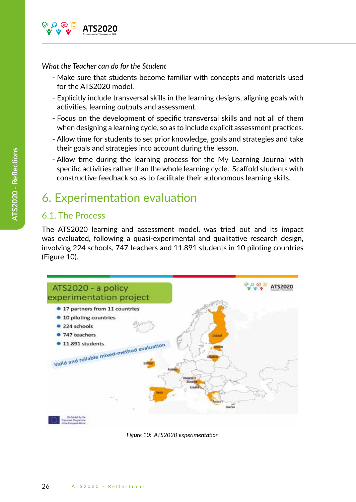

#### *What the Teacher can do for the Student*

- Make sure that students become familiar with concepts and materials used for the ATS2020 model.
- Explicitly include transversal skills in the learning designs, aligning goals with activities, learning outputs and assessment.
- Focus on the development of specific transversal skills and not all of them when designing a learning cycle, so as to include explicit assessment practices.
- Allow time for students to set prior knowledge, goals and strategies and take their goals and strategies into account during the lesson.
- Allow time during the learning process for the My Learning Journal with specific activities rather than the whole learning cycle. Scaffold students with constructive feedback so as to facilitate their autonomous learning skills.

## 6. Experimentation evaluation

### 6.1. The Process

The ATS2020 learning and assessment model, was tried out and its impact was evaluated, following a quasi-experimental and qualitative research design, involving 224 schools, 747 teachers and 11.891 students in 10 piloting countries (Figure 10).



*Figure 10: ATS2020 experimentation*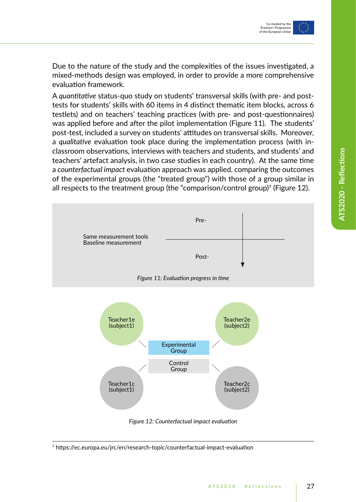Due to the nature of the study and the complexities of the issues investigated, a mixed-methods design was employed, in order to provide a more comprehensive evaluation framework.

A *quantitative* status-quo study on students' transversal skills (with pre- and posttests for students' skills with 60 items in 4 distinct thematic item blocks, across 6 testlets) and on teachers' teaching practices (with pre- and post-questionnaires) was applied before and after the pilot implementation (Figure 11). The students' post-test, included a survey on students' attitudes on transversal skills. Moreover, a *qualitative* evaluation took place during the implementation process (with inclassroom observations, interviews with teachers and students, and students' and teachers' artefact analysis, in two case studies in each country). At the same time a *counterfactual impact* evaluation approach was applied, comparing the outcomes of the experimental groups (the "treated group") with those of a group similar in all respects to the treatment group (the "comparison/control group)7 (Figure 12).



*Figure 12: Counterfactual impact evaluation*

<sup>7</sup> https://ec.europa.eu/jrc/en/research-topic/counterfactual-impact-evaluation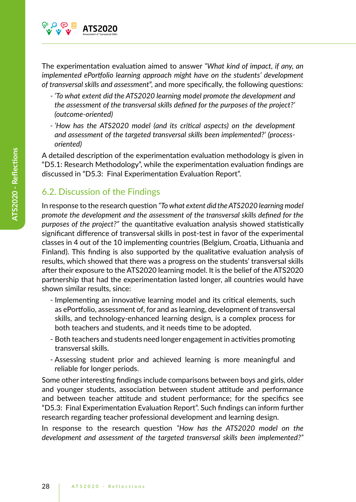

The experimentation evaluation aimed to answer *"What kind of impact, if any, an implemented ePortfolio learning approach might have on the students' development of transversal skills and assessment*", and more specifically, the following questions:

- *'To what extent did the ATS2020 learning model promote the development and the assessment of the transversal skills defined for the purposes of the project?' (outcome-oriented)*
- *'How has the ATS2020 model (and its critical aspects) on the development and assessment of the targeted transversal skills been implemented?' (processoriented)*

A detailed description of the experimentation evaluation methodology is given in "D5.1: Research Methodology", while the experimentation evaluation findings are discussed in "D5.3: Final Experimentation Evaluation Report".

## 6.2. Discussion of the Findings

In response to the research question *"To what extent did the ATS2020 learning model promote the development and the assessment of the transversal skills defined for the purposes of the project?"* the quantitative evaluation analysis showed statistically significant difference of transversal skills in post-test in favor of the experimental classes in 4 out of the 10 implementing countries (Belgium, Croatia, Lithuania and Finland). This finding is also supported by the qualitative evaluation analysis of results, which showed that there was a progress on the students' transversal skills after their exposure to the ATS2020 learning model. It is the belief of the ATS2020 partnership that had the experimentation lasted longer, all countries would have shown similar results, since:

- Implementing an innovative learning model and its critical elements, such as ePortfolio, assessment of, for and as learning, development of transversal skills, and technology-enhanced learning design, is a complex process for both teachers and students, and it needs time to be adopted.
- Both teachers and students need longer engagement in activities promoting transversal skills.
- Assessing student prior and achieved learning is more meaningful and reliable for longer periods.

Some other interesting findings include comparisons between boys and girls, older and younger students, association between student attitude and performance and between teacher attitude and student performance; for the specifics see "D5.3: Final Experimentation Evaluation Report". Such findings can inform further research regarding teacher professional development and learning design.

In response to the research question *"How has the ATS2020 model on the development and assessment of the targeted transversal skills been implemented?"*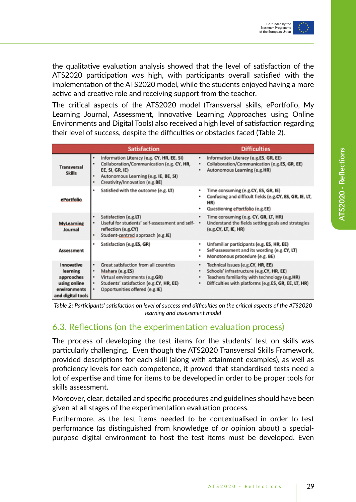the qualitative evaluation analysis showed that the level of satisfaction of the ATS2020 participation was high, with participants overall satisfied with the implementation of the ATS2020 model, while the students enjoyed having a more active and creative role and receiving support from the teacher.

The critical aspects of the ATS2020 model (Transversal skills, ePortfolio, My Learning Journal, Assessment, Innovative Learning Approaches using Online Environments and Digital Tools) also received a high level of satisfaction regarding their level of success, despite the difficulties or obstacles faced (Table 2).

|                                                                                           | <b>Satisfaction</b>                                                                                                                                                                   | <b>Difficulties</b>                                                                                                                                                                                        |  |  |  |
|-------------------------------------------------------------------------------------------|---------------------------------------------------------------------------------------------------------------------------------------------------------------------------------------|------------------------------------------------------------------------------------------------------------------------------------------------------------------------------------------------------------|--|--|--|
| <b>Transversal</b><br><b>Skills</b>                                                       | Information Literacy (e.g. CY, HR, EE, SI)<br>Collaboration/Communication (e.g. CY, HR,<br>EE, SI, GR, IE)<br>Autonomous Learning (e.g. IE, BE, SI)<br>Creativity/Innovation (e.g.BE) | Information Literacy (e.g.ES, GR, EE)<br>٠<br>Collaboration/Communication (e.g.ES, GR, EE)<br>٠<br>Autonomous Learning (e.g.HR)<br>٠                                                                       |  |  |  |
| ePortfolio                                                                                | Satisfied with the outcome (e.g. LT)                                                                                                                                                  | Time consuming (e.g.CY, ES, GR, IE)<br>۰<br>Confusing and difficult fields (e.g.CY, ES, GR, IE, LT,<br>HR)<br>Questioning ePortfolio (e.g.EE)                                                              |  |  |  |
| <b>MyLearning</b><br>Journal                                                              | Satisfaction (e.g.LT)<br>Useful for students' self-assessment and self- .<br>reflection (e.g.CY)<br>Student-centred approach (e.g.IE)                                                 | Time consuming (e.g. CY, GR, LT, HR)<br>٠<br>Understand the fields setting goals and strategies<br>(e.g.CY, LT, IE, HR)                                                                                    |  |  |  |
| <b>Assessment</b>                                                                         | Satisfaction (e.g.ES, GR)                                                                                                                                                             | Unfamiliar participants (e.g. ES, HR, EE)<br>٠<br>Self-assessment and its wording (e.g.CY, LT)<br>٠<br>Monotonous procedure (e.g. BE)<br>٠                                                                 |  |  |  |
| Innovative<br>learning<br>approaches<br>using online<br>environments<br>and digital tools | Great satisfaction from all countries<br>Mahara (e.g.ES)<br>Virtual environments (e.g.GR)<br>Students' satisfaction (e.g.CY, HR, EE)<br>Opportunities offered (e.g.IE)                | Technical issues (e.g.CY, HR, EE)<br>٠<br>Schools' infrastructure (e.g.CY, HR, EE)<br>٠<br>Teachers familiarity with technology (e.g.HR)<br>٠<br>Difficulties with platforms (e.g.ES, GR, EE, LT, HR)<br>٠ |  |  |  |

*Table 2: Participants' satisfaction on level of success and difficulties on the critical aspects of the ATS2020 learning and assessment model*

### 6.3. Reflections (on the experimentation evaluation process)

The process of developing the test items for the students' test on skills was particularly challenging. Even though the ATS2020 Transversal Skills Framework, provided descriptions for each skill (along with attainment examples), as well as proficiency levels for each competence, it proved that standardised tests need a lot of expertise and time for items to be developed in order to be proper tools for skills assessment.

Moreover, clear, detailed and specific procedures and guidelines should have been given at all stages of the experimentation evaluation process.

Furthermore, as the test items needed to be contextualised in order to test performance (as distinguished from knowledge of or opinion about) a specialpurpose digital environment to host the test items must be developed. Even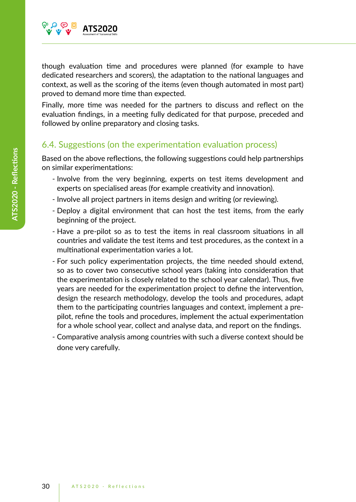

though evaluation time and procedures were planned (for example to have dedicated researchers and scorers), the adaptation to the national languages and context, as well as the scoring of the items (even though automated in most part) proved to demand more time than expected.

Finally, more time was needed for the partners to discuss and reflect on the evaluation findings, in a meeting fully dedicated for that purpose, preceded and followed by online preparatory and closing tasks.

### 6.4. Suggestions (on the experimentation evaluation process)

Based on the above reflections, the following suggestions could help partnerships on similar experimentations:

- Involve from the very beginning, experts on test items development and experts on specialised areas (for example creativity and innovation).
- Involve all project partners in items design and writing (or reviewing).
- Deploy a digital environment that can host the test items, from the early beginning of the project.
- Have a pre-pilot so as to test the items in real classroom situations in all countries and validate the test items and test procedures, as the context in a multinational experimentation varies a lot.
- For such policy experimentation projects, the time needed should extend, so as to cover two consecutive school years (taking into consideration that the experimentation is closely related to the school year calendar). Thus, five years are needed for the experimentation project to define the intervention, design the research methodology, develop the tools and procedures, adapt them to the participating countries languages and context, implement a prepilot, refine the tools and procedures, implement the actual experimentation for a whole school year, collect and analyse data, and report on the findings.
- Comparative analysis among countries with such a diverse context should be done very carefully.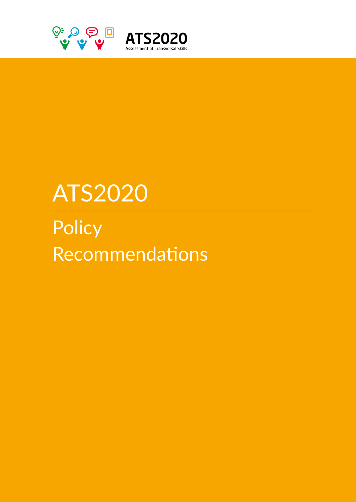

# ATS2020

**Policy** Recommendations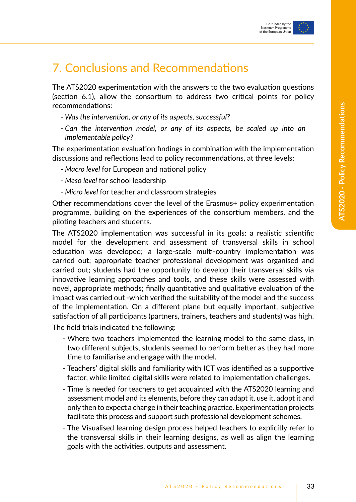## 7. Conclusions and Recommendations

The ATS2020 experimentation with the answers to the two evaluation questions (section 6.1), allow the consortium to address two critical points for policy recommendations:

- *Was the intervention, or any of its aspects, successful?*
- *Can the intervention model, or any of its aspects, be scaled up into an implementable policy?*

The experimentation evaluation findings in combination with the implementation discussions and reflections lead to policy recommendations, at three levels:

- *Macro level* for European and national policy
- *Meso level* for school leadership
- *Micro level* for teacher and classroom strategies

Other recommendations cover the level of the Erasmus+ policy experimentation programme, building on the experiences of the consortium members, and the piloting teachers and students.

The ATS2020 implementation was successful in its goals: a realistic scientific model for the development and assessment of transversal skills in school education was developed; a large-scale multi-country implementation was carried out; appropriate teacher professional development was organised and carried out; students had the opportunity to develop their transversal skills via innovative learning approaches and tools, and these skills were assessed with novel, appropriate methods; finally quantitative and qualitative evaluation of the impact was carried out -which verified the suitability of the model and the success of the implementation. On a different plane but equally important, subjective satisfaction of all participants (partners, trainers, teachers and students) was high.

The field trials indicated the following:

- Where two teachers implemented the learning model to the same class, in two different subjects, students seemed to perform better as they had more time to familiarise and engage with the model.
- Teachers' digital skills and familiarity with ICT was identified as a supportive factor, while limited digital skills were related to implementation challenges.
- Time is needed for teachers to get acquainted with the ATS2020 learning and assessment model and its elements, before they can adapt it, use it, adopt it and only then to expect a change in their teaching practice. Experimentation projects facilitate this process and support such professional development schemes.
- The Visualised learning design process helped teachers to explicitly refer to the transversal skills in their learning designs, as well as align the learning goals with the activities, outputs and assessment.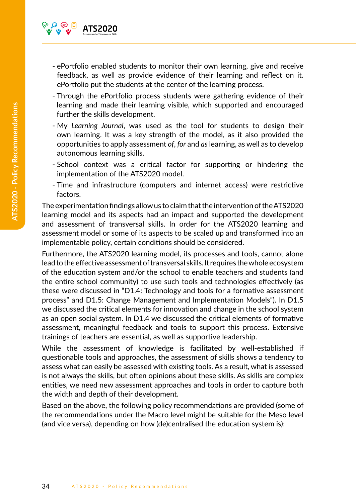

- ePortfolio enabled students to monitor their own learning, give and receive feedback, as well as provide evidence of their learning and reflect on it. ePortfolio put the students at the center of the learning process.
- Through the ePortfolio process students were gathering evidence of their learning and made their learning visible, which supported and encouraged further the skills development.
- My *Learning Journal*, was used as the tool for students to design their own learning. It was a key strength of the model, as it also provided the opportunities to apply assessment *of*, *for* and *as* learning, as well as to develop autonomous learning skills.
- School context was a critical factor for supporting or hindering the implementation of the ATS2020 model.
- Time and infrastructure (computers and internet access) were restrictive factors.

The experimentation findings allow us to claim that the intervention of the ATS2020 learning model and its aspects had an impact and supported the development and assessment of transversal skills. In order for the ATS2020 learning and assessment model or some of its aspects to be scaled up and transformed into an implementable policy, certain conditions should be considered.

Furthermore, the ATS2020 learning model, its processes and tools, cannot alone lead to the effective assessment of transversal skills. It requires the whole ecosystem of the education system and/or the school to enable teachers and students (and the entire school community) to use such tools and technologies effectively (as these were discussed in "D1.4: Technology and tools for a formative assessment process" and D1.5: Change Management and Implementation Models"). In D1.5 we discussed the critical elements for innovation and change in the school system as an open social system. In D1.4 we discussed the critical elements of formative assessment, meaningful feedback and tools to support this process. Extensive trainings of teachers are essential, as well as supportive leadership.

While the assessment of knowledge is facilitated by well-established if questionable tools and approaches, the assessment of skills shows a tendency to assess what can easily be assessed with existing tools. As a result, what is assessed is not always the skills, but often opinions about these skills. As skills are complex entities, we need new assessment approaches and tools in order to capture both the width and depth of their development.

Based on the above, the following policy recommendations are provided (some of the recommendations under the Macro level might be suitable for the Meso level (and vice versa), depending on how (de)centralised the education system is):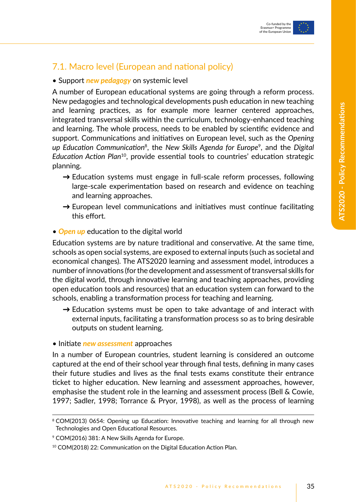## 7.1. Macro level (European and national policy)

#### • Support *new pedagogy* on systemic level

A number of European educational systems are going through a reform process. New pedagogies and technological developments push education in new teaching and learning practices, as for example more learner centered approaches, integrated transversal skills within the curriculum, technology-enhanced teaching and learning. The whole process, needs to be enabled by scientific evidence and support. Communications and initiatives on European level, such as the *Opening up Education Communication*8, the *New Skills Agenda for Europe*9, and the *Digital Education Action Plan*10, provide essential tools to countries' education strategic planning.

- $\rightarrow$  Education systems must engage in full-scale reform processes, following large-scale experimentation based on research and evidence on teaching and learning approaches.
- $\rightarrow$  European level communications and initiatives must continue facilitating this effort.
- *Open up* education to the digital world

Education systems are by nature traditional and conservative. At the same time, schools as open social systems, are exposed to external inputs (such as societal and economical changes). The ATS2020 learning and assessment model, introduces a number of innovations (for the development and assessment of transversal skills for the digital world, through innovative learning and teaching approaches, providing open education tools and resources) that an education system can forward to the schools, enabling a transformation process for teaching and learning.

 $\rightarrow$  Education systems must be open to take advantage of and interact with external inputs, facilitating a transformation process so as to bring desirable outputs on student learning.

#### • Initiate *new assessment* approaches

In a number of European countries, student learning is considered an outcome captured at the end of their school year through final tests, defining in many cases their future studies and lives as the final tests exams constitute their entrance ticket to higher education. New learning and assessment approaches, however, emphasise the student role in the learning and assessment process (Bell & Cowie, 1997; Sadler, 1998; Torrance & Pryor, 1998), as well as the process of learning

<sup>&</sup>lt;sup>8</sup> COM(2013) 0654: Opening up Education: Innovative teaching and learning for all through new Technologies and Open Educational Resources.

<sup>9</sup> COM(2016) 381: A New Skills Agenda for Europe.

<sup>10</sup> COM(2018) 22: Communication on the Digital Education Action Plan.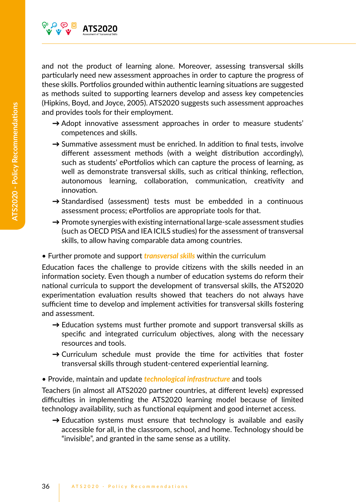

and not the product of learning alone. Moreover, assessing transversal skills particularly need new assessment approaches in order to capture the progress of these skills. Portfolios grounded within authentic learning situations are suggested as methods suited to supporting learners develop and assess key competencies (Hipkins, Boyd, and Joyce, 2005). ATS2020 suggests such assessment approaches and provides tools for their employment.

- $\rightarrow$  Adopt innovative assessment approaches in order to measure students' competences and skills.
- $\rightarrow$  Summative assessment must be enriched. In addition to final tests, involve different assessment methods (with a weight distribution accordingly), such as students' ePortfolios which can capture the process of learning, as well as demonstrate transversal skills, such as critical thinking, reflection, autonomous learning, collaboration, communication, creativity and innovation.
- $\rightarrow$  Standardised (assessment) tests must be embedded in a continuous assessment process; ePortfolios are appropriate tools for that.
- $\rightarrow$  Promote synergies with existing international large-scale assessment studies (such as OECD PISA and IEA ICILS studies) for the assessment of transversal skills, to allow having comparable data among countries.
- Further promote and support *transversal skills* within the curriculum

Education faces the challenge to provide citizens with the skills needed in an information society. Even though a number of education systems do reform their national curricula to support the development of transversal skills, the ATS2020 experimentation evaluation results showed that teachers do not always have sufficient time to develop and implement activities for transversal skills fostering and assessment.

- $\rightarrow$  Education systems must further promote and support transversal skills as specific and integrated curriculum objectives, along with the necessary resources and tools.
- $\rightarrow$  Curriculum schedule must provide the time for activities that foster transversal skills through student-centered experiential learning.
- Provide, maintain and update *technological infrastructure* and tools

Teachers (in almost all ATS2020 partner countries, at different levels) expressed difficulties in implementing the ATS2020 learning model because of limited technology availability, such as functional equipment and good internet access.

 $\rightarrow$  Education systems must ensure that technology is available and easily accessible for all, in the classroom, school, and home. Technology should be "invisible", and granted in the same sense as a utility.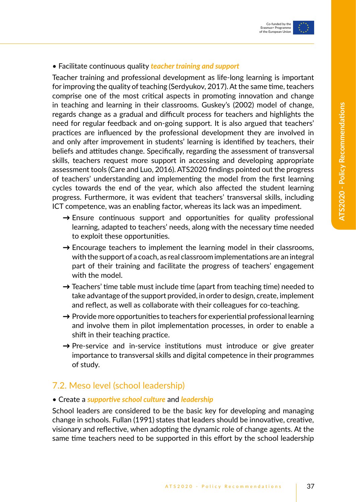#### • Facilitate continuous quality *teacher training and support*

Teacher training and professional development as life-long learning is important for improving the quality of teaching (Serdyukov, 2017). At the same time, teachers comprise one of the most critical aspects in promoting innovation and change in teaching and learning in their classrooms. Guskey's (2002) model of change, regards change as a gradual and difficult process for teachers and highlights the need for regular feedback and on-going support. It is also argued that teachers' practices are influenced by the professional development they are involved in and only after improvement in students' learning is identified by teachers, their beliefs and attitudes change. Specifically, regarding the assessment of transversal skills, teachers request more support in accessing and developing appropriate assessment tools (Care and Luo, 2016). ATS2020 findings pointed out the progress of teachers' understanding and implementing the model from the first learning cycles towards the end of the year, which also affected the student learning progress. Furthermore, it was evident that teachers' transversal skills, including ICT competence, was an enabling factor, whereas its lack was an impediment.

- $\rightarrow$  Ensure continuous support and opportunities for quality professional learning, adapted to teachers' needs, along with the necessary time needed to exploit these opportunities.
- $\rightarrow$  Encourage teachers to implement the learning model in their classrooms, with the support of a coach, as real classroom implementations are an integral part of their training and facilitate the progress of teachers' engagement with the model.
- $\rightarrow$  Teachers' time table must include time (apart from teaching time) needed to take advantage of the support provided, in order to design, create, implement and reflect, as well as collaborate with their colleagues for co-teaching.
- $\rightarrow$  Provide more opportunities to teachers for experiential professional learning and involve them in pilot implementation processes, in order to enable a shift in their teaching practice.
- $\rightarrow$  Pre-service and in-service institutions must introduce or give greater importance to transversal skills and digital competence in their programmes of study.

## 7.2. Meso level (school leadership)

#### • Create a *supportive school culture* and *leadership*

School leaders are considered to be the basic key for developing and managing change in schools. Fullan (1991) states that leaders should be innovative, creative, visionary and reflective, when adopting the dynamic role of change agents. At the same time teachers need to be supported in this effort by the school leadership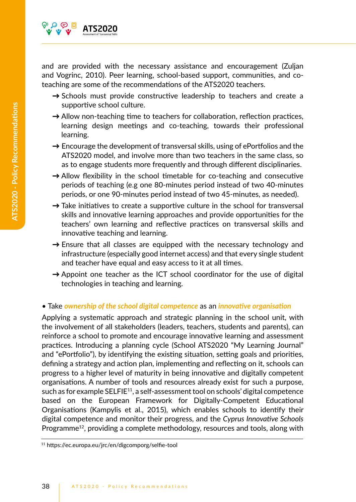

and are provided with the necessary assistance and encouragement (Zuljan and Vogrinc, 2010). Peer learning, school-based support, communities, and coteaching are some of the recommendations of the ATS2020 teachers.

- → Schools must provide constructive leadership to teachers and create a supportive school culture.
- $\rightarrow$  Allow non-teaching time to teachers for collaboration, reflection practices, learning design meetings and co-teaching, towards their professional learning.
- $\rightarrow$  Encourage the development of transversal skills, using of ePortfolios and the ATS2020 model, and involve more than two teachers in the same class, so as to engage students more frequently and through different disciplinaries.
- → Allow flexibility in the school timetable for co-teaching and consecutive periods of teaching (e.g one 80-minutes period instead of two 40-minutes periods, or one 90-minutes period instead of two 45-minutes, as needed).
- $\rightarrow$  Take initiatives to create a supportive culture in the school for transversal skills and innovative learning approaches and provide opportunities for the teachers' own learning and reflective practices on transversal skills and innovative teaching and learning.
- $\rightarrow$  Ensure that all classes are equipped with the necessary technology and infrastructure (especially good internet access) and that every single student and teacher have equal and easy access to it at all times.
- $\rightarrow$  Appoint one teacher as the ICT school coordinator for the use of digital technologies in teaching and learning.

#### • Take *ownership of the school digital competence* as an *innovative organisation*

Applying a systematic approach and strategic planning in the school unit, with the involvement of all stakeholders (leaders, teachers, students and parents), can reinforce a school to promote and encourage innovative learning and assessment practices. Introducing a planning cycle (School ATS2020 "My Learning Journal" and "ePortfolio"), by identifying the existing situation, setting goals and priorities, defining a strategy and action plan, implementing and reflecting on it, schools can progress to a higher level of maturity in being innovative and digitally competent organisations. A number of tools and resources already exist for such a purpose, such as for example SELFIE<sup>11</sup>, a self-assessment tool on schools' digital competence based on the European Framework for Digitally-Competent Educational Organisations (Kampylis et al., 2015), which enables schools to identify their digital competence and monitor their progress, and the *Cyprus Innovative Schools*  Programme<sup>12</sup>, providing a complete methodology, resources and tools, along with

<sup>11</sup> https://ec.europa.eu/jrc/en/digcomporg/selfie-tool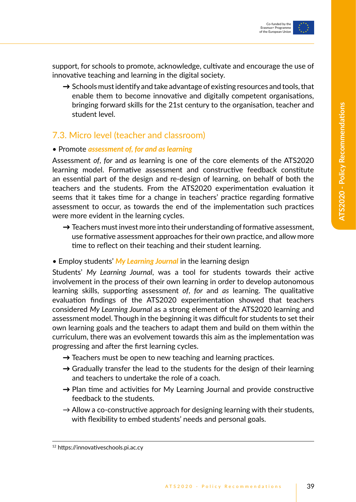

support, for schools to promote, acknowledge, cultivate and encourage the use of innovative teaching and learning in the digital society.

 $\rightarrow$  Schools must identify and take advantage of existing resources and tools, that enable them to become innovative and digitally competent organisations, bringing forward skills for the 21st century to the organisation, teacher and student level.

### 7.3. Micro level (teacher and classroom)

#### • Promote *assessment of, for and as learning*

Assessment *of*, *for* and *as* learning is one of the core elements of the ATS2020 learning model. Formative assessment and constructive feedback constitute an essential part of the design and re-design of learning, on behalf of both the teachers and the students. From the ATS2020 experimentation evaluation it seems that it takes time for a change in teachers' practice regarding formative assessment to occur, as towards the end of the implementation such practices were more evident in the learning cycles.

- $\rightarrow$  Teachers must invest more into their understanding of formative assessment, use formative assessment approaches for their own practice, and allow more time to reflect on their teaching and their student learning.
- Employ students' *My Learning Journal* in the learning design

Students' *My Learning Journal*, was a tool for students towards their active involvement in the process of their own learning in order to develop autonomous learning skills, supporting assessment *of*, *for* and *as* learning. The qualitative evaluation findings of the ATS2020 experimentation showed that teachers considered *My Learning Journal* as a strong element of the ATS2020 learning and assessment model. Though in the beginning it was difficult for students to set their own learning goals and the teachers to adapt them and build on them within the curriculum, there was an evolvement towards this aim as the implementation was progressing and after the first learning cycles.

- $\rightarrow$  Teachers must be open to new teaching and learning practices.
- $\rightarrow$  Gradually transfer the lead to the students for the design of their learning and teachers to undertake the role of a coach.
- $\rightarrow$  Plan time and activities for My Learning Journal and provide constructive feedback to the students.
- $\rightarrow$  Allow a co-constructive approach for designing learning with their students, with flexibility to embed students' needs and personal goals.

<sup>12</sup> https://innovativeschools.pi.ac.cy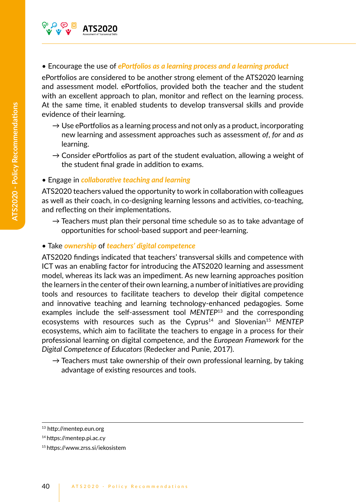

#### • Encourage the use of *ePortfolios as a learning process and a learning product*

ePortfolios are considered to be another strong element of the ATS2020 learning and assessment model. ePortfolios, provided both the teacher and the student with an excellent approach to plan, monitor and reflect on the learning process. At the same time, it enabled students to develop transversal skills and provide evidence of their learning.

- $\rightarrow$  Use ePortfolios as a learning process and not only as a product, incorporating new learning and assessment approaches such as assessment *of*, *for* and *as*  learning.
- $\rightarrow$  Consider ePortfolios as part of the student evaluation, allowing a weight of the student final grade in addition to exams.

#### • Engage in *collaborative teaching and learning*

ATS2020 teachers valued the opportunity to work in collaboration with colleagues as well as their coach, in co-designing learning lessons and activities, co-teaching, and reflecting on their implementations.

 $\rightarrow$  Teachers must plan their personal time schedule so as to take advantage of opportunities for school-based support and peer-learning.

#### • Take *ownership* of *teachers' digital competence*

ATS2020 findings indicated that teachers' transversal skills and competence with ICT was an enabling factor for introducing the ATS2020 learning and assessment model, whereas its lack was an impediment. As new learning approaches position the learners in the center of their own learning, a number of initiatives are providing tools and resources to facilitate teachers to develop their digital competence and innovative teaching and learning technology-enhanced pedagogies. Some examples include the self-assessment tool *MENTEP*13 and the corresponding ecosystems with resources such as the Cyprus<sup>14</sup> and Slovenian<sup>15</sup> MENTEP ecosystems, which aim to facilitate the teachers to engage in a process for their professional learning on digital competence, and the *European Framework* for the *Digital Competence of Educators* (Redecker and Punie, 2017).

 $\rightarrow$  Teachers must take ownership of their own professional learning, by taking advantage of existing resources and tools.

<sup>13</sup> http://mentep.eun.org

<sup>14</sup> https://mentep.pi.ac.cy

<sup>15</sup> https://www.zrss.si/iekosistem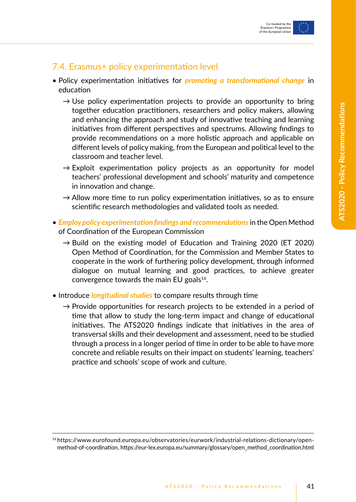

### 7.4. Erasmus+ policy experimentation level

- Policy experimentation initiatives for *promoting a transformational change* in education
	- $\rightarrow$  Use policy experimentation projects to provide an opportunity to bring together education practitioners, researchers and policy makers, allowing and enhancing the approach and study of innovative teaching and learning initiatives from different perspectives and spectrums. Allowing findings to provide recommendations on a more holistic approach and applicable on different levels of policy making, from the European and political level to the classroom and teacher level.
	- $\rightarrow$  Exploit experimentation policy projects as an opportunity for model teachers' professional development and schools' maturity and competence in innovation and change.
	- $\rightarrow$  Allow more time to run policy experimentation initiatives, so as to ensure scientific research methodologies and validated tools as needed.
- *Employ policy experimentation findings and recommendations* in the Open Method of Coordination of the European Commission
	- $\rightarrow$  Build on the existing model of Education and Training 2020 (ET 2020) Open Method of Coordination, for the Commission and Member States to cooperate in the work of furthering policy development, through informed dialogue on mutual learning and good practices, to achieve greater convergence towards the main EU goals $16$ .
- Introduce *longitudinal studies* to compare results through time
	- $\rightarrow$  Provide opportunities for research projects to be extended in a period of time that allow to study the long-term impact and change of educational initiatives. The ATS2020 findings indicate that initiatives in the area of transversal skills and their development and assessment, need to be studied through a process in a longer period of time in order to be able to have more concrete and reliable results on their impact on students' learning, teachers' practice and schools' scope of work and culture.

<sup>16</sup> https://www.eurofound.europa.eu/observatories/eurwork/industrial-relations-dictionary/openmethod-of-coordination, https://eur-lex.europa.eu/summary/glossary/open\_method\_coordination.html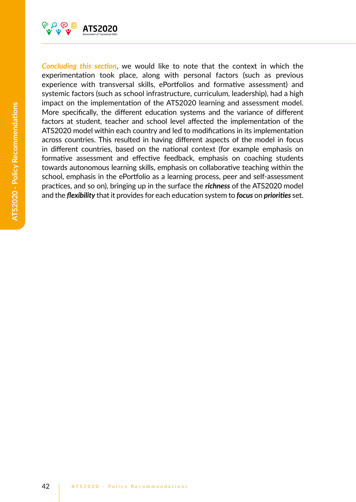

*Concluding this section*, we would like to note that the context in which the experimentation took place, along with personal factors (such as previous experience with transversal skills, ePortfolios and formative assessment) and systemic factors (such as school infrastructure, curriculum, leadership), had a high impact on the implementation of the ATS2020 learning and assessment model. More specifically, the different education systems and the variance of different factors at student, teacher and school level affected the implementation of the ATS2020 model within each country and led to modifications in its implementation across countries. This resulted in having different aspects of the model in focus in different countries, based on the national context (for example emphasis on formative assessment and effective feedback, emphasis on coaching students towards autonomous learning skills, emphasis on collaborative teaching within the school, emphasis in the ePortfolio as a learning process, peer and self-assessment practices, and so on), bringing up in the surface the *richness* of the ATS2020 model and the *flexibility* that it provides for each education system to *focus* on *priorities* set.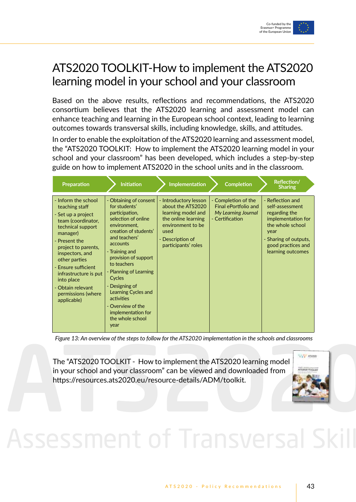

## ATS2020 TOOLKIT-How to implement the ATS2020 learning model in your school and your classroom

Based on the above results, reflections and recommendations, the ATS2020 consortium believes that the ATS2020 learning and assessment model can enhance teaching and learning in the European school context, leading to learning outcomes towards transversal skills, including knowledge, skills, and attitudes.

In order to enable the exploitation of the ATS2020 learning and assessment model, the "ATS2020 TOOLKIT: How to implement the ATS2020 learning model in your school and your classroom" has been developed, which includes a step-by-step guide on how to implement ATS2020 in the school units and in the classroom.

| Preparation                                                                                                                                                                                                                                                                                                            | <b>Initiation</b>                                                                                                                                                                                                                                                                                                                                                                 | Implementation                                                                                                                                                  | <b>Completion</b>                                                                     | Reflection/<br><b>Sharing</b>                                                                                                                                              |
|------------------------------------------------------------------------------------------------------------------------------------------------------------------------------------------------------------------------------------------------------------------------------------------------------------------------|-----------------------------------------------------------------------------------------------------------------------------------------------------------------------------------------------------------------------------------------------------------------------------------------------------------------------------------------------------------------------------------|-----------------------------------------------------------------------------------------------------------------------------------------------------------------|---------------------------------------------------------------------------------------|----------------------------------------------------------------------------------------------------------------------------------------------------------------------------|
| - Inform the school<br>teaching staff<br>- Set up a project<br>team (coordinator,<br>technical support<br>manager)<br>- Present the<br>project to parents,<br>inspectors, and<br>other parties<br>- Ensure sufficient<br>infrastructure is put<br>into place<br>- Obtain relevant<br>permissions (where<br>applicable) | - Obtaining of consent<br>for students'<br>participation,<br>selection of online<br>environment.<br>creation of students'<br>and teachers'<br>accounts<br>- Training and<br>provision of support<br>to teachers<br>- Planning of Learning<br>Cycles<br>- Designing of<br>Learning Cycles and<br>activities<br>- Overview of the<br>implementation for<br>the whole school<br>year | - Introductory lesson<br>about the ATS2020<br>learning model and<br>the online learning<br>environment to be<br>used<br>- Description of<br>participants' roles | - Completion of the<br>Final ePortfolio and<br>My Learning Journal<br>- Certification | - Reflection and<br>self-assessment<br>regarding the<br>implementation for<br>the whole school<br>year<br>- Sharing of outputs,<br>good practices and<br>learning outcomes |

*Figure 13: An overview of the steps to follow for the ATS2020 implementation in the schools and classrooms*

The "ATS2020 TOOLKIT - How to implement the ATS2020 learning model in your school and your classroom" can be viewed and downloaded from https://resources.ats2020.eu/resource-details/ADM/toolkit.



# Assessment of Transversal Ski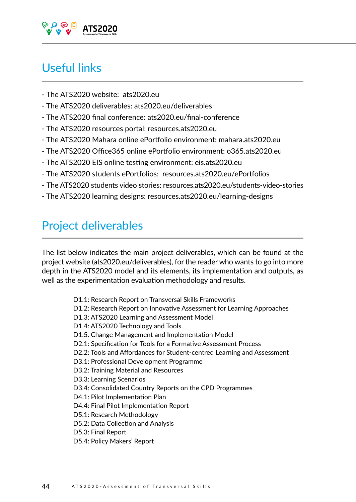

## Useful links

- The ATS2020 website: ats2020.eu
- The ATS2020 deliverables: ats2020.eu/deliverables
- The ATS2020 final conference: ats2020.eu/final-conference
- The ATS2020 resources portal: resources.ats2020.eu
- The ATS2020 Mahara online ePortfolio environment: mahara.ats2020.eu
- The ATS2020 Office365 online ePortfolio environment: o365.ats2020.eu
- The ATS2020 EIS online testing environment: eis.ats2020.eu
- The ATS2020 students ePortfolios: resources.ats2020.eu/ePortfolios
- The ATS2020 students video stories: resources.ats2020.eu/students-video-stories
- The ATS2020 learning designs: resources.ats2020.eu/learning-designs

## Project deliverables

The list below indicates the main project deliverables, which can be found at the project website (ats2020.eu/deliverables), for the reader who wants to go into more depth in the ATS2020 model and its elements, its implementation and outputs, as well as the experimentation evaluation methodology and results.

- D1.1: Research Report on Transversal Skills Frameworks
- D1.2: Research Report on Innovative Assessment for Learning Approaches
- D1.3: ATS2020 Learning and Assessment Model
- D1.4: ATS2020 Technology and Tools
- D1.5. Change Management and Implementation Model
- D2.1: Specification for Tools for a Formative Assessment Process
- D2.2: Tools and Affordances for Student-centred Learning and Assessment
- D3.1: Professional Development Programme
- D3.2: Training Material and Resources
- D3.3: Learning Scenarios
- D3.4: Consolidated Country Reports on the CPD Programmes
- D4.1: Pilot Implementation Plan
- D4.4: Final Pilot Implementation Report
- D5.1: Research Methodology
- D5.2: Data Collection and Analysis
- D5.3: Final Report
- D5.4: Policy Makers' Report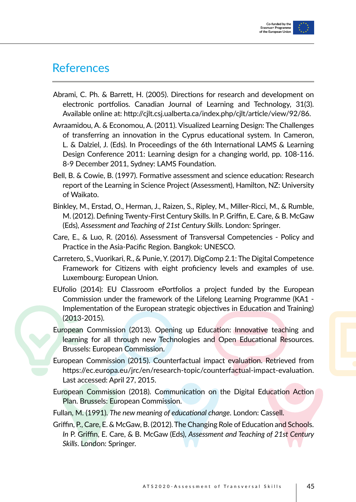

## **References**

- Abrami, C. Ph. & Barrett, H. (2005). Directions for research and development on electronic portfolios. Canadian Journal of Learning and Technology, 31(3). Available online at: http://cjlt.csj.ualberta.ca/index.php/cjlt/article/view/92/86.
- Avraamidou, A. & Economou, A. (2011). Visualized Learning Design: The Challenges of transferring an innovation in the Cyprus educational system. In Cameron, L. & Dalziel, J. (Eds). In Proceedings of the 6th International LAMS & Learning Design Conference 2011: Learning design for a changing world, pp. 108-116. 8-9 December 2011, Sydney: LAMS Foundation.
- Bell, B. & Cowie, B. (1997). Formative assessment and science education: Research report of the Learning in Science Project (Assessment), Hamilton, NZ: University of Waikato.
- Binkley, M., Erstad, O., Herman, J., Raizen, S., Ripley, M., Miller-Ricci, M., & Rumble, M. (2012). Defining Twenty-First Century Skills. In P. Griffin, E. Care, & B. McGaw (Eds), *Assessment and Teaching of 21st Century Skills*. London: Springer.
- Care, E., & Luo, R. (2016). Assessment of Transversal Competencies Policy and Practice in the Asia-Pacific Region. Bangkok: UNESCO.
- Carretero, S., Vuorikari, R., & Punie, Y. (2017). DigComp 2.1: The Digital Competence Framework for Citizens with eight proficiency levels and examples of use. Luxembourg: European Union.
- EUfolio (2014): EU Classroom ePortfolios a project funded by the European Commission under the framework of the Lifelong Learning Programme (KA1 - Implementation of the European strategic objectives in Education and Training) (2013-2015).
- European Commission (2013). Opening up Education: Innovative teaching and learning for all through new Technologies and Open Educational Resources. Brussels: European Commission.
- European Commission (2015). Counterfactual impact evaluation. Retrieved from https://ec.europa.eu/jrc/en/research-topic/counterfactual-impact-evaluation. Last accessed: April 27, 2015.
- European Commission (2018). Communication on the Digital Education Action Plan. Brussels: European Commission.
- Fullan, M. (1991). *The new meaning of educational change*. London: Cassell.
- Griffin, P., Care, E. & McGaw, B. (2012). The Changing Role of Education and Schools. *In* P. Griffin, E. Care, & B. McGaw (Eds), *Assessment and Teaching of 21st Century Skills*. London: Springer.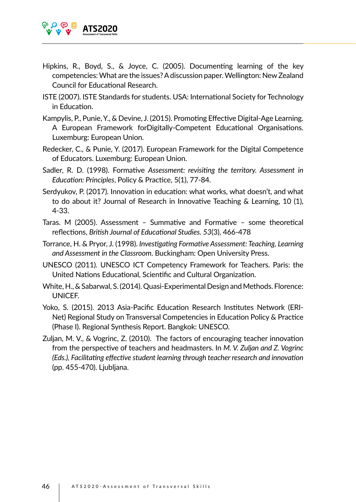

- Hipkins, R., Boyd, S., & Joyce, C. (2005). Documenting learning of the key competencies: What are the issues? A discussion paper. Wellington: New Zealand Council for Educational Research.
- ISTE (2007). ISTE Standards for students. USA: International Society for Technology in Education.
- Kampylis, P., Punie, Y., & Devine, J. (2015). Promoting Effective Digital-Age Learning. A European Framework forDigitally-Competent Educational Organisations. Luxemburg: European Union.
- Redecker, C., & Punie, Y. (2017). European Framework for the Digital Competence of Educators. Luxemburg: European Union.
- Sadler, R. D. (1998). Formative *Assessment: revisiting the territory. Assessment in Education: Principles*, Policy & Practice, 5(1), 77-84.
- Serdyukov, P. (2017). Innovation in education: what works, what doesn't, and what to do about it? Journal of Research in Innovative Teaching & Learning, 10 (1), 4-33.
- Taras. M (2005). Assessment Summative and Formative some theoretical reflections, *British Journal of Educational Studies. 53*(3), 466-478
- Torrance, H. & Pryor, J. (1998). *Investigating Formative Assessment: Teaching, Learning and Assessment in the Classroom*. Buckingham: Open University Press.
- UNESCO (2011). UNESCO ICT Competency Framework for Teachers. Paris: the United Nations Educational, Scientific and Cultural Organization.
- White, H., & Sabarwal, S. (2014). Quasi-Experimental Design and Methods. Florence: UNICEF.
- Yoko, S. (2015). 2013 Asia-Pacific Education Research Institutes Network (ERI-Net) Regional Study on Transversal Competencies in Education Policy & Practice (Phase I). Regional Synthesis Report. Bangkok: UNESCO.
- Zuljan, M. V., & Vogrinc, Z. (2010). The factors of encouraging teacher innovation from the perspective of teachers and headmasters. In *M. V. Zuljan and Z. Vogrinc (Eds.), Facilitating effective student learning through teacher research and innovation* (pp. 455-470). Ljubljana.